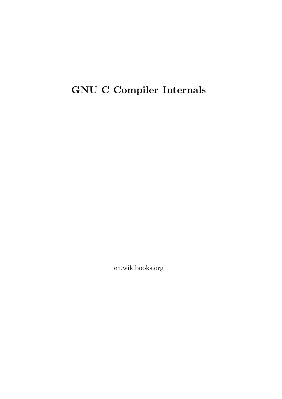# **GNU C Compiler Internals**

en.wikibooks.org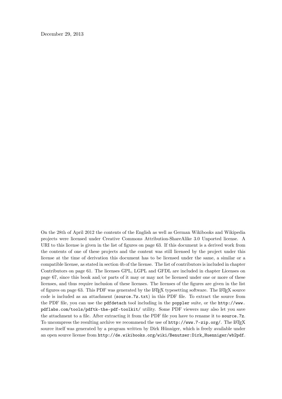December 29, 2013

On the 28th of April 2012 the contents of the English as well as German Wikibooks and Wikipedia projects were licensed under Creative Commons Attribution-ShareAlike 3.0 Unported license. A URI to this license is given in the list of figures on page [63.](#page-65-0) If this document is a derived work from the contents of one of these projects and the content was still licensed by the project under this license at the time of derivation this document has to be licensed under the same, a similar or a compatible license, as stated in section 4b of the license. The list of contributors is included in chapter Contributors on page [61.](#page-63-0) The licenses GPL, LGPL and GFDL are included in chapter Licenses on page [67,](#page-69-0) since this book and/or parts of it may or may not be licensed under one or more of these licenses, and thus require inclusion of these licenses. The licenses of the figures are given in the list of figures on page [63](#page-65-0). This PDF was generated by the LAT<sub>E</sub>X typesetting software. The LAT<sub>E</sub>X source code is included as an attachment (source.7z.txt) in this PDF file. To extract the source from the PDF file, you can use the pdfdetach tool including in the poppler suite, or the [http://www.](http://www.pdflabs.com/tools/pdftk-the-pdf-toolkit/) [pdflabs.com/tools/pdftk-the-pdf-toolkit/](http://www.pdflabs.com/tools/pdftk-the-pdf-toolkit/) utility. Some PDF viewers may also let you save the attachment to a file. After extracting it from the PDF file you have to rename it to source.7z. To uncompress the resulting archive we recommend the use of  $http://www.7-zip.org/$ . The LATEX source itself was generated by a program written by Dirk Hünniger, which is freely available under an open source license from [http://de.wikibooks.org/wiki/Benutzer:Dirk\\_Huenniger/wb2pdf](http://de.wikibooks.org/wiki/Benutzer:Dirk_Huenniger/wb2pdf).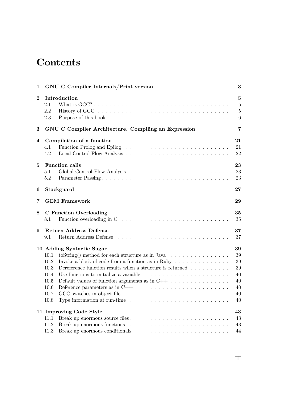# **Contents**

| $\mathbf{1}$   | <b>GNU C Compiler Internals/Print version</b>                                                                                                                                                                                                                                                                                                                                                                                                                                                                                                                                                                                                                                                                         | 3                                                       |  |
|----------------|-----------------------------------------------------------------------------------------------------------------------------------------------------------------------------------------------------------------------------------------------------------------------------------------------------------------------------------------------------------------------------------------------------------------------------------------------------------------------------------------------------------------------------------------------------------------------------------------------------------------------------------------------------------------------------------------------------------------------|---------------------------------------------------------|--|
| $\bf{2}$       | Introduction<br>2.1<br>2.2<br>2.3                                                                                                                                                                                                                                                                                                                                                                                                                                                                                                                                                                                                                                                                                     | $\overline{5}$<br>$\overline{5}$<br>$\overline{5}$<br>6 |  |
| 3              | GNU C Compiler Architecture. Compiling an Expression                                                                                                                                                                                                                                                                                                                                                                                                                                                                                                                                                                                                                                                                  | $\overline{7}$                                          |  |
| 4              | Compilation of a function<br>4.1<br>4.2                                                                                                                                                                                                                                                                                                                                                                                                                                                                                                                                                                                                                                                                               | 21<br>21<br>22                                          |  |
| $\overline{5}$ | <b>Function calls</b><br>5.1<br>$5.2\,$                                                                                                                                                                                                                                                                                                                                                                                                                                                                                                                                                                                                                                                                               | 23<br>23<br>23                                          |  |
| 6              | 27<br>Stackguard                                                                                                                                                                                                                                                                                                                                                                                                                                                                                                                                                                                                                                                                                                      |                                                         |  |
| 7              | <b>GEM Framework</b><br>29                                                                                                                                                                                                                                                                                                                                                                                                                                                                                                                                                                                                                                                                                            |                                                         |  |
| 8              | <b>C</b> Function Overloading<br>Function overloading in $C \ldots \ldots \ldots \ldots \ldots \ldots \ldots \ldots \ldots$<br>8.1                                                                                                                                                                                                                                                                                                                                                                                                                                                                                                                                                                                    | 35<br>35                                                |  |
| 9              | <b>Return Address Defense</b><br>9.1                                                                                                                                                                                                                                                                                                                                                                                                                                                                                                                                                                                                                                                                                  | 37<br>37                                                |  |
|                | 10 Adding Syntactic Sugar<br>toString() method for each structure as in Java $\ldots \ldots \ldots \ldots$<br>10.1<br>Invoke a block of code from a function as in Ruby $\dots \dots \dots \dots$<br>10.2<br>Dereference function results when a structure is returned $\ldots \ldots \ldots$<br>10.3<br>Use functions to initialize a variable $\dots \dots \dots \dots \dots \dots \dots \dots \dots$<br>10.4<br>Default values of function arguments as in $C++ \ldots \ldots \ldots \ldots$<br>10.5<br>Reference parameters as in $C++ \ldots \ldots \ldots \ldots \ldots \ldots \ldots \ldots$<br>10.6<br>10.7<br>Type information at run-time $\ldots \ldots \ldots \ldots \ldots \ldots \ldots \ldots$<br>10.8 | 39<br>39<br>39<br>39<br>40<br>40<br>40<br>40<br>40      |  |
|                | 11 Improving Code Style<br>11.1<br>11.2<br>11.3                                                                                                                                                                                                                                                                                                                                                                                                                                                                                                                                                                                                                                                                       | 43<br>43<br>43<br>44                                    |  |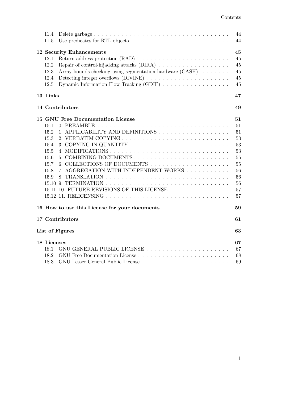| 11.4                                                                                         | 44 |
|----------------------------------------------------------------------------------------------|----|
| 11.5                                                                                         | 44 |
|                                                                                              |    |
| <b>12 Security Enhancements</b>                                                              | 45 |
| 12.1                                                                                         | 45 |
| 12.2                                                                                         | 45 |
| Array bounds checking using segmentation hardware (CASH)<br>12.3                             | 45 |
| 12.4                                                                                         | 45 |
| Dynamic Information Flow Tracking (GDIF) $\ldots \ldots \ldots \ldots \ldots \ldots$<br>12.5 | 45 |
| 13 Links                                                                                     | 47 |
| 14 Contributors                                                                              | 49 |
|                                                                                              |    |
| 15 GNU Free Documentation License                                                            | 51 |
| 15.1<br>0. PREAMBLE                                                                          | 51 |
| 1. APPLICABILITY AND DEFINITIONS<br>15.2                                                     | 51 |
| 15.3                                                                                         | 53 |
| 15.4                                                                                         | 53 |
| 15.5                                                                                         | 53 |
| 15.6                                                                                         | 55 |
| 15.7                                                                                         | 55 |
| 7. AGGREGATION WITH INDEPENDENT WORKS<br>15.8                                                | 56 |
| 15.9                                                                                         | 56 |
|                                                                                              | 56 |
| 15.11 10. FUTURE REVISIONS OF THIS LICENSE                                                   | 57 |
|                                                                                              | 57 |
| 16 How to use this License for your documents                                                | 59 |
|                                                                                              |    |
| 17 Contributors                                                                              | 61 |
| List of Figures                                                                              | 63 |
| 18 Licenses                                                                                  | 67 |
| 18.1                                                                                         | 67 |
| 18.2                                                                                         | 68 |
| 18.3                                                                                         | 69 |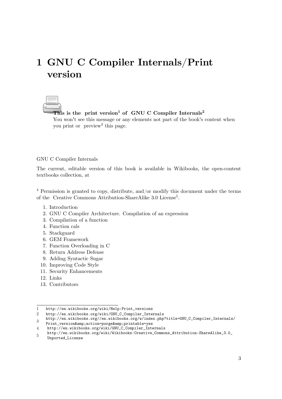# <span id="page-5-0"></span>**1 GNU C Compiler Internals/Print version**

**This is the print version1 of GNU C Compiler Internals2** You won't see this message or any elements not part of the book's content when you print or preview<sup>3</sup> this page.

#### GNU C Compiler Internals

The current, editable version of this book is available in Wikibooks, the open-content textbooks collection, at

 $4$  Permission is granted to copy, distribute, and/or modify this document under the terms of the Creative Commons Attribution-ShareAlike 3.0 License<sup>[5](#page-5-2)</sup>.

- 1. Introduction
- 2. GNU C Compiler Architecture. Compilation of an expression
- 3. Compilation of a function
- 4. Function cals
- 5. Stackguard
- 6. GEM Framework
- 7. Function Overloading in C
- 8. Return Address Defense
- 9. Adding Syntactic Sugar
- 10. Improving Code Style
- 11. Security Enhancements
- 12. Links
- 13. Contributors

<sup>1</sup> [http://en.wikibooks.org/wiki/Help:Print\\_versions](http://en.wikibooks.org/wiki/Help:Print_versions)

<sup>2</sup> [http://en.wikibooks.org/wiki/GNU\\_C\\_Compiler\\_Internals](http://en.wikibooks.org/wiki/GNU_C_Compiler_Internals)

<sup>3</sup> [http://en.wikibooks.org//en.wikibooks.org/w/index.php?title=GNU\\_C\\_Compiler\\_Internals/](http://en.wikibooks.org//en.wikibooks.org/w/index.php?title=GNU_C_Compiler_Internals/Print_version&action=purge&printable=yes)

[Print\\_version&action=purge&printable=yes](http://en.wikibooks.org//en.wikibooks.org/w/index.php?title=GNU_C_Compiler_Internals/Print_version&action=purge&printable=yes)

<span id="page-5-1"></span><sup>4</sup> [http://en.wikibooks.org/wiki/GNU\\_C\\_Compiler\\_Internals](http://en.wikibooks.org/wiki/GNU_C_Compiler_Internals)

<span id="page-5-2"></span><sup>5</sup> [http://en.wikibooks.org/wiki/Wikibooks:Creative\\_Commons\\_Attribution-ShareAlike\\_3.0\\_](http://en.wikibooks.org/wiki/Wikibooks:Creative_Commons_Attribution-ShareAlike_3.0_Unported_License) [Unported\\_License](http://en.wikibooks.org/wiki/Wikibooks:Creative_Commons_Attribution-ShareAlike_3.0_Unported_License)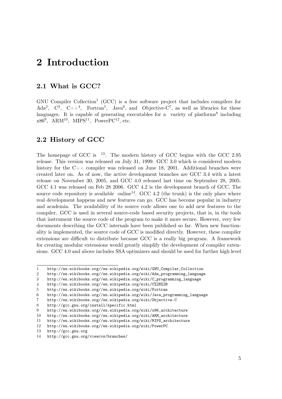# <span id="page-7-0"></span>**2 Introduction**

## <span id="page-7-1"></span>**2.1 What is GCC?**

GNU Compiler Collection<sup>[1](#page-7-3)</sup> (GCC) is a free software project that includes compilers for Ada<sup>[2](#page-7-4)</sup>, C<sup>[3](#page-7-5)</sup>, C++<sup>[4](#page-7-6)</sup>, Fortran<sup>[5](#page-7-7)</sup>, Java<sup>[6](#page-7-8)</sup>, and Objective-C<sup>[7](#page-7-9)</sup>, as well as libraries for these languages. It is capable of generating executables for a variety of platforms<sup>[8](#page-7-10)</sup> including  $x86<sup>9</sup>$  $x86<sup>9</sup>$  $x86<sup>9</sup>$ , ARM<sup>[10](#page-7-12)</sup>, MIPS<sup>[11](#page-7-13)</sup>, PowerPC<sup>[12](#page-7-14)</sup>, etc.

## <span id="page-7-2"></span>**2.2 History of GCC**

The homepage of GCC is  $13$ . The modern history of GCC begins with the GCC 2.95 release. This version was released on July 31, 1999. GCC 3.0 which is considered modern history for the C++ compiler was released on June 18, 2001. Additional branches were created later on. As of now, the active development branches are GCC 3.4 with a latest release on November 30, 2005, and GCC 4.0 released last time on September 28, 2005. GCC 4.1 was released on Feb 28 2006. GCC 4.2 is the development branch of GCC. The source code repository is available online<sup>[14](#page-7-16)</sup>. GCC 4.2 (the trunk) is the only place where real development happens and new features can go. GCC has become popular in industry and academia. The availability of its source code allows one to add new features to the compiler. GCC is used in several source-code based security projects, that is, in the tools that instrument the source code of the program to make it more secure. However, very few documents describing the GCC internals have been published so far. When new functionality is implemented, the source code of GCC is modified directly. However, these compiler extensions are difficult to distribute because GCC is a really big program. A framework for creating modular extensions would greatly simplify the development of compiler extensions. GCC 4.0 and above includes SSA optimizers and should be used for further high level

<span id="page-7-3"></span><sup>1</sup> [http://en.wikibooks.org//en.wikipedia.org/wiki/GNU\\_Compiler\\_Collection](http://en.wikibooks.org//en.wikipedia.org/wiki/GNU_Compiler_Collection)

<span id="page-7-4"></span><sup>2</sup> [http://en.wikibooks.org//en.wikipedia.org/wiki/Ada\\_programming\\_language](http://en.wikibooks.org//en.wikipedia.org/wiki/Ada_programming_language)

<span id="page-7-5"></span><sup>3</sup> [http://en.wikibooks.org//en.wikipedia.org/wiki/C\\_programming\\_language](http://en.wikibooks.org//en.wikipedia.org/wiki/C_programming_language)

<span id="page-7-6"></span><sup>4</sup> <http://en.wikibooks.org//en.wikipedia.org/wiki/C%2B%2B>

<span id="page-7-7"></span><sup>5</sup> <http://en.wikibooks.org//en.wikipedia.org/wiki/Fortran>

<span id="page-7-8"></span><sup>6</sup> [http://en.wikibooks.org//en.wikipedia.org/wiki/Java\\_programming\\_language](http://en.wikibooks.org//en.wikipedia.org/wiki/Java_programming_language)

<span id="page-7-9"></span><sup>7</sup> <http://en.wikibooks.org//en.wikipedia.org/wiki/Objective-C>

<span id="page-7-10"></span><sup>8</sup> <http://gcc.gnu.org/install/specific.html>

<span id="page-7-11"></span><sup>9</sup> [http://en.wikibooks.org//en.wikipedia.org/wiki/x86\\_architecture](http://en.wikibooks.org//en.wikipedia.org/wiki/x86_architecture)

<span id="page-7-12"></span><sup>10</sup> [http://en.wikibooks.org//en.wikipedia.org/wiki/ARM\\_architecture](http://en.wikibooks.org//en.wikipedia.org/wiki/ARM_architecture)

<span id="page-7-13"></span><sup>11</sup> [http://en.wikibooks.org//en.wikipedia.org/wiki/MIPS\\_architecture](http://en.wikibooks.org//en.wikipedia.org/wiki/MIPS_architecture)

<span id="page-7-14"></span><sup>12</sup> <http://en.wikibooks.org//en.wikipedia.org/wiki/PowerPC>

<span id="page-7-15"></span><sup>13</sup> <http://gcc.gnu.org>

<span id="page-7-16"></span><sup>14</sup> <http://gcc.gnu.org/viewcvs/branches/>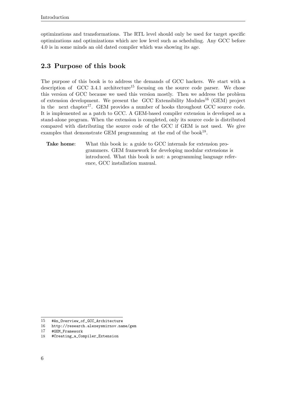optimizations and transformations. The RTL level should only be used for target specific optimizations and optimizations which are low level such as scheduling. Any GCC before 4.0 is in some minds an old dated compiler which was showing its age.

# <span id="page-8-0"></span>**2.3 Purpose of this book**

The purpose of this book is to address the demands of GCC hackers. We start with a description of GCC 3.4.1 architecture<sup>[15](#page-8-1)</sup> focusing on the source code parser. We chose this version of GCC because we used this version mostly. Then we address the problem of extension development. We present the GCC Extensibility  $Modules^{16}$  $Modules^{16}$  $Modules^{16}$  (GEM) project in the next chapter<sup>[17](#page-8-3)</sup>. GEM provides a number of hooks throughout GCC source code. It is implemented as a patch to GCC. A GEM-based compiler extension is developed as a stand-alone program. When the extension is completed, only its source code is distributed compared with distributing the source code of the GCC if GEM is not used. We give examples that demonstrate GEM programming at the end of the book<sup>[18](#page-8-4)</sup>.

**Take home:** What this book is: a guide to GCC internals for extension programmers. GEM framework for developing modular extensions is introduced. What this book is not: a programming language reference, GCC installation manual.

<span id="page-8-1"></span><sup>15</sup> [#An\\_Overview\\_of\\_GCC\\_Architecture](#An_Overview_of_GCC_Architecture)

<span id="page-8-2"></span><sup>16</sup> <http://research.alexeysmirnov.name/gem>

<span id="page-8-3"></span><sup>17</sup> [#GEM\\_Framework](#GEM_Framework)

<span id="page-8-4"></span><sup>18</sup> [#Creating\\_a\\_Compiler\\_Extension](#Creating_a_Compiler_Extension)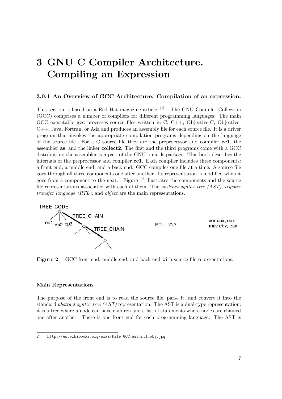# <span id="page-9-0"></span>**3 GNU C Compiler Architecture. Compiling an Expression**

#### **3.0.1 An Overview of GCC Architecture. Compilation of an expression.**

This section is based on a Red Hat magazine article  $[1]$ <sup>1</sup>. The GNU Compiler Collection (GCC) comprises a number of compilers for different programming languages. The main GCC executable **gcc** processes source files written in C, C++, Objective-C, Objective- $C_{++}$ , Java, Fortran, or Ada and produces an assembly file for each source file. It is a driver program that invokes the appropriate compilation programs depending on the language of the source file. For a C source file they are the preprocessor and compiler **cc1**, the assembler **as**, and the linker **collect2**. The first and the third programs come with a GCC distribution; the assembler is a part of the GNU binutils package. This book describes the internals of the preprocessor and compiler **cc1**. Each compiler includes three components: a front end, a middle end, and a back end. GCC compiles one file at a time. A source file goes through all three components one after another. Its representation is modified when it goes from a component to the next. Figure  $1^2$  $1^2$  illustrates the components and the source file representations associated with each of them. The *abstract syntax tree (AST)*, *register transfer language (RTL)*, and *object* are the main representations.



**Figure 2** GCC front end, middle end, and back end with source file representations.

#### **Main Representations**

The purpose of the front end is to read the source file, parse it, and convert it into the standard *abstract syntax tree (AST)* representation. The AST is a dual-type representation: it is a tree where a node can have children and a list of statements where nodes are chained one after another. There is one front end for each programming language. The AST is

<span id="page-9-1"></span><sup>2</sup> [http://en.wikibooks.org/wiki/File:GCC\\_ast\\_rtl\\_obj.jpg](http://en.wikibooks.org/wiki/File:GCC_ast_rtl_obj.jpg)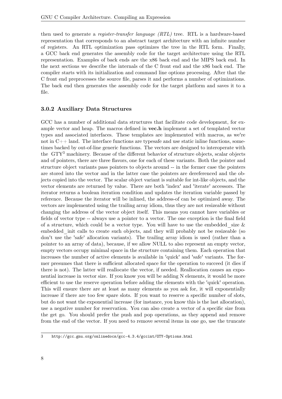then used to generate a *register-transfer language (RTL)* tree. RTL is a hardware-based representation that corresponds to an abstract target architecture with an infinite number of registers. An RTL optimization pass optimizes the tree in the RTL form. Finally, a GCC back end generates the assembly code for the target architecture using the RTL representation. Examples of back ends are the x86 back end and the MIPS back end. In the next sections we describe the internals of the C front end and the x86 back end. The compiler starts with its initialization and command line options processing. After that the C front end preprocesses the source file, parses it and performs a number of optimizations. The back end then generates the assembly code for the target platform and saves it to a file.

#### **3.0.2 Auxiliary Data Structures**

GCC has a number of additional data structures that facilitate code development, for example vector and heap. The macros defined in **vec.h** implement a set of templated vector types and associated interfaces. These templates are implemented with macros, as we're not in C++ land. The interface functions are typesafe and use static inline functions, sometimes backed by out-of-line generic functions. The vectors are designed to interoperate with the GTY[3](#page-10-0) machinery. Because of the different behavior of structure objects, scalar objects and of pointers, there are three flavors, one for each of these variants. Both the pointer and structure object variants pass pointers to objects around -- in the former case the pointers are stored into the vector and in the latter case the pointers are dereferenced and the objects copied into the vector. The scalar object variant is suitable for int-like objects, and the vector elements are returned by value. There are both 'index' and 'iterate' accessors. The iterator returns a boolean iteration condition and updates the iteration variable passed by reference. Because the iterator will be inlined, the address-of can be optimized away. The vectors are implemented using the trailing array idiom, thus they are not resizeable without changing the address of the vector object itself. This means you cannot have variables or fields of vector type -- always use a pointer to a vector. The one exception is the final field of a structure, which could be a vector type. You will have to use the embedded size  $\&$ embedded\_init calls to create such objects, and they will probably not be resizeable (so don't use the 'safe' allocation variants). The trailing array idiom is used (rather than a pointer to an array of data), because, if we allow NULL to also represent an empty vector, empty vectors occupy minimal space in the structure containing them. Each operation that increases the number of active elements is available in 'quick' and 'safe' variants. The former presumes that there is sufficient allocated space for the operation to succeed (it dies if there is not). The latter will reallocate the vector, if needed. Reallocation causes an exponential increase in vector size. If you know you will be adding N elements, it would be more efficient to use the reserve operation before adding the elements with the 'quick' operation. This will ensure there are at least as many elements as you ask for, it will exponentially increase if there are too few spare slots. If you want to reserve a specific number of slots, but do not want the exponential increase (for instance, you know this is the last allocation), use a negative number for reservation. You can also create a vector of a specific size from the get go. You should prefer the push and pop operations, as they append and remove from the end of the vector. If you need to remove several items in one go, use the truncate

<span id="page-10-0"></span><sup>3</sup> <http://gcc.gnu.org/onlinedocs/gcc-4.3.4/gccint/GTY-Options.html>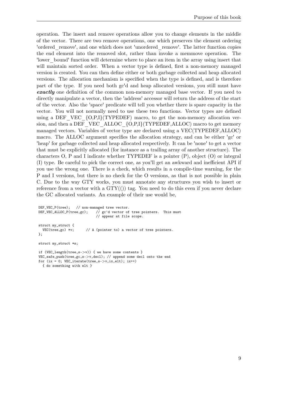operation. The insert and remove operations allow you to change elements in the middle of the vector. There are two remove operations, one which preserves the element ordering 'ordered\_remove', and one which does not 'unordered\_remove'. The latter function copies the end element into the removed slot, rather than invoke a memmove operation. The 'lower\_bound' function will determine where to place an item in the array using insert that will maintain sorted order. When a vector type is defined, first a non-memory managed version is created. You can then define either or both garbage collected and heap allocated versions. The allocation mechanism is specified when the type is defined, and is therefore part of the type. If you need both gc'd and heap allocated versions, you still must have **exactly** one definition of the common non-memory managed base vector. If you need to directly manipulate a vector, then the 'address' accessor will return the address of the start of the vector. Also the 'space' predicate will tell you whether there is spare capacity in the vector. You will not normally need to use these two functions. Vector types are defined using a DEF VEC  $\{O, P, I\}$ (TYPEDEF) macro, to get the non-memory allocation version, and then a DEF\_VEC\_ALLOC\_{O,P,I}(TYPEDEF,ALLOC) macro to get memory managed vectors. Variables of vector type are declared using a VEC(TYPEDEF,ALLOC) macro. The ALLOC argument specifies the allocation strategy, and can be either 'gc' or 'heap' for garbage collected and heap allocated respectively. It can be 'none' to get a vector that must be explicitly allocated (for instance as a trailing array of another structure). The characters  $O, P$  and I indicate whether TYPEDEF is a pointer  $(P)$ , object  $(O)$  or integral (I) type. Be careful to pick the correct one, as you'll get an awkward and inefficient API if you use the wrong one. There is a check, which results in a compile-time warning, for the P and I versions, but there is no check for the O versions, as that is not possible in plain C. Due to the way GTY works, you must annotate any structures you wish to insert or reference from a vector with a  $GTY((n)$  tag. You need to do this even if you never declare the GC allocated variants. An example of their use would be,

```
DEF_VEC_P(tree); // non-managed tree vector.
DEF_VEC_ALLOC_P(tree,gc); // gc'd vector of tree pointers. This must
                             // appear at file scope.
struct my_struct {
 VEC(tree, gc) *v; // A (pointer to) a vector of tree pointers.
\ddot{\ }:
struct my_struct *s;
if (VEC_length(tree,s->v)) { we have some contents }
VEC_safe_push(tree,gc,s->v,decl); // append some decl onto the end
for (ix = 0; VEC_iterate(tree,s->v,ix,elt); ix++)
  { do something with elt }
```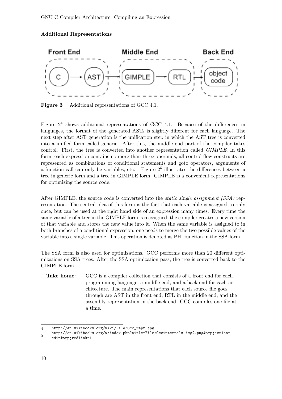#### **Additional Representations**



**Figure 3** Additional representations of GCC 4.1.

Figure  $2<sup>4</sup>$  $2<sup>4</sup>$  $2<sup>4</sup>$  shows additional representations of GCC 4.1. Because of the differences in languages, the format of the generated ASTs is slightly different for each language. The next step after AST generation is the unification step in which the AST tree is converted into a unified form called generic. After this, the middle end part of the compiler takes control. First, the tree is converted into another representation called *GIMPLE*. In this form, each expression contains no more than three operands, all control flow constructs are represented as combinations of conditional statements and goto operators, arguments of a function call can only be variables, etc. Figure  $2<sup>5</sup>$  $2<sup>5</sup>$  $2<sup>5</sup>$  illustrates the differences between a tree in generic form and a tree in GIMPLE form. GIMPLE is a convenient representations for optimizing the source code.

After GIMPLE, the source code is converted into the *static single assignment (SSA)* representation. The central idea of this form is the fact that each variable is assigned to only once, but can be used at the right hand side of an expression many times. Every time the same variable of a tree in the GIMPLE form is reassigned, the compiler creates a new version of that variable and stores the new value into it. When the same variable is assigned to in both branches of a conditional expression, one needs to merge the two possible values of the variable into a single variable. This operation is denoted as PHI function in the SSA form.

The SSA form is also used for optimizations. GCC performs more than 20 different optimizations on SSA trees. After the SSA optimization pass, the tree is converted back to the GIMPLE form.

**Take home:** GCC is a compiler collection that consists of a front end for each programming language, a middle end, and a back end for each architecture. The main representations that each source file goes through are AST in the front end, RTL in the middle end, and the assembly representation in the back end. GCC compiles one file at a time.

<span id="page-12-0"></span><sup>4</sup> [http://en.wikibooks.org/wiki/File:Gcc\\_repr.jpg](http://en.wikibooks.org/wiki/File:Gcc_repr.jpg)

<sup>5</sup> [http://en.wikibooks.org/w/index.php?title=File:Gccinternals-img2.png&action=](http://en.wikibooks.org/w/index.php?title=File:Gccinternals-img2.png&action=edit&redlink=1)

<span id="page-12-1"></span>[edit&redlink=1](http://en.wikibooks.org/w/index.php?title=File:Gccinternals-img2.png&action=edit&redlink=1)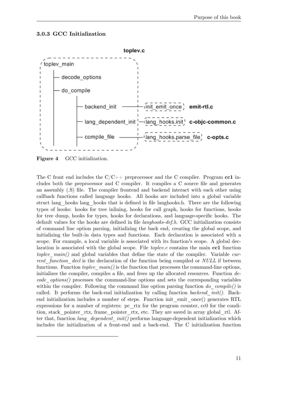#### **3.0.3 GCC Initialization**



**Figure 4** GCC initialization.

The C front end includes the C/C++ preprocessor and the C compiler. Program **cc1** includes both the preprocessor and C compiler. It compiles a C source file and generates an assembly (.S) file. The compiler frontend and backend interact with each other using callback functions called language hooks. All hooks are included into a global variable struct lang\_hooks lang\_hooks that is defined in file langhooks.h. There are the following types of hooks: hooks for tree inlining, hooks for call graph, hooks for functions, hooks for tree dump, hooks for types, hooks for declarations, and language-specific hooks. The default values for the hooks are defined in file *langhooks-def.h*. GCC initialization consists of command line option parsing, initializing the back end, creating the global scope, and initializing the built-in data types and functions. Each declaration is associated with a scope. For example, a local variable is associated with its function's scope. A global declaration is associated with the global scope. File *toplev.c* contains the main **cc1** function *toplev\_main()* and global variables that define the state of the compiler. Variable *current\_function\_decl* is the declaration of the function being compiled or *NULL* if between functions. Function *toplev*  $main()$  is the function that processes the command-line options, initializes the compiler, compiles a file, and frees up the allocated resources. Function *decode\_options()* processes the command-line options and sets the corresponding variables within the compiler. Following the command line option parsing function *do compile()* is called. It performs the back-end initialization by calling function *backend\_init()*. Backend initialization includes a number of steps. Function init\_emit\_once() generates RTL expressions for a number of registers: pc\_rtx for the program counter, cc0 for the condition, stack pointer rtx, frame pointer rtx, etc. They are saved in array global rtl. After that, function *lang\_dependent\_init()* performs language-dependent initialization which includes the initialization of a front-end and a back-end. The C initialization function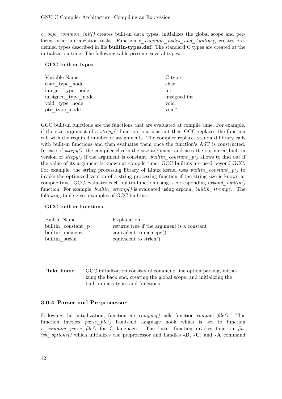*c\_objc\_common\_init()* creates built-in data types, initializes the global scope and performs other initialization tasks. Function *c\_common\_nodes\_and\_builtins()* creates predefined types described in file **builtin-types.def.** The standard C types are created at the initialization time. The following table presents several types:

#### **GCC builtin types**

| Variable Name      | C type          |
|--------------------|-----------------|
| char type node     | char            |
| integer type node  | int             |
| unsigned type node | unsigned int    |
| void type node     | void            |
| ptr type node      | $\text{void}^*$ |

GCC built-in functions are the functions that are evaluated at compile time. For example, if the size argument of a *strcpy()* function is a constant then GCC replaces the function call with the required number of assignments. The compiler replaces standard library calls with built-in functions and then evaluates them once the function's AST is constructed. In case of *strcpy()*, the compiler checks the size argument and uses the optimized built-in version of  $strcpy()$  if the argument is constant. *builtin* constant  $p()$  allows to find out if the value of its argument is known at compile time. GCC builtins are used beyond GCC. For example, the string processing library of Linux kernel uses *builtin\_constant\_p()* to invoke the optimized version of a string processing function if the string size is known at compile time. GCC evaluates each builtin function using a corresponding *expand\_builtin()* function. For example, *builtin\_strcmp()* is evaluated using *expand\_builtin\_strcmp()*. The following table gives examples of GCC builtins:

### **GCC builtin functions**

| Explanation                                |
|--------------------------------------------|
| returns true if the argument is a constant |
| equivalent to memory()                     |
| equivalent to strlen()                     |
|                                            |

**Take home**: GCC initialization consists of command line option parsing, initializing the back end, creating the global scope, and initializing the built-in data types and functions.

### **3.0.4 Parser and Preprocessor**

Following the initialization, function *do\_compile()* calls function *compile\_file()*. This function invokes *parse\_file()* front-end language hook which is set to function *c\_common\_parse\_file()* for C language. The latter function invokes function *finish\_options()* which initializes the preprocessor and handles **-D**, **-U**, and **-A** command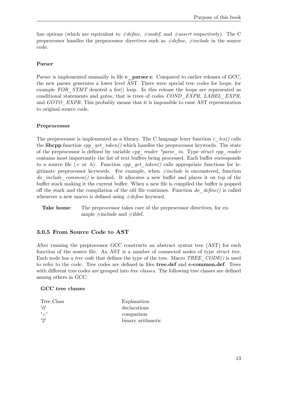line options (which are equivalent to *#define, #undef,* and *#assert* respectively). The C preprocessor handles the preprocessor directives such as *#define*, *#include* in the source code.

### **Parser**

Parser is implemented manually in file **c** parser.c. Compared to earlier releases of GCC, the new parser generates a lower level AST. There were special tree codes for loops, for example *FOR* STMT denoted a for() loop. In this release the loops are represented as conditional statements and gotos, that is trees of codes *COND\_EXPR*, *LABEL\_EXPR*, and *GOTO* EXPR. This probably means that it is impossible to raise AST representation to original source code.

## **Preprocessor**

The preprocessor is implemented as a library. The C language lexer function  $c \, |ex|$  calls the **libcpp** function *cpp\_get\_token()* which handles the preprocessor keywords. The state of the preprocessor is defined by variable *cpp\_reader \*parse\_in*. Type *struct cpp\_reader* contains most importantly the list of text buffers being processed. Each buffer corresponds to a source file (.c or .h). Function  $cpp$  get token() calls appropriate functions for legitimate preprocessor keywords. For example, when *#include* is encountered, function *do\_include\_common()* is invoked. It allocates a new buffer and places it on top of the buffer stack making it the current buffer. When a new file is compiled the buffer is popped off the stack and the compilation of the old file continues. Function *do\_define()* is called whenever a new macro is defined using *#define* keyword.

**Take home:** The preprocessor takes care of the preprocessor directives, for example #include and #ifdef.

## **3.0.5 From Source Code to AST**

After running the preprocessor GCC constructs an abstract syntax tree (AST) for each function of the source file. An AST is a number of connected nodes of type *struct tree*. Each node has a *tree code* that defines the type of the tree. Macro *TREE\_CODE()* is used to refer to the code. Tree codes are defined in files **tree.def** and **c-common.def**. Trees with different tree codes are grouped into *tree classes*. The following tree classes are defined among others in GCC:

### **GCC tree classes**

| Tree Class   | Explanation       |
|--------------|-------------------|
| יהי          | declarations      |
| $\mathsf{l}$ | comparison        |
| 191          | binary arithmetic |
|              |                   |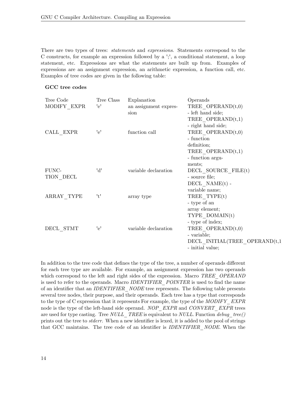There are two types of trees: *statements* and *expressions*. Statements correspond to the C constructs, for example an expression followed by a ';', a conditional statement, a loop statement, etc. Expressions are what the statements are built up from. Examples of expressions are an assignment expression, an arithmetic expression, a function call, etc. Examples of tree codes are given in the following table:

#### **GCC tree codes**

| Tree Code                | Tree Class | Explanation           | Operands                       |
|--------------------------|------------|-----------------------|--------------------------------|
| MODIFY EXPR              | 'e'        | an assignment expres- | TREE OPERAND $(t,0)$           |
|                          |            | sion                  | - left hand side;              |
|                          |            |                       | TREE OPERAND $(t,1)$           |
|                          |            |                       | - right hand side;             |
| CALL EXPR                | 'e'        | function call         | TREE OPERAND $(t,0)$           |
|                          |            |                       | - function                     |
|                          |            |                       | definition;                    |
|                          |            |                       | TREE OPERAND $(t,1)$           |
|                          |            |                       | - function argu-               |
|                          |            |                       | ments:                         |
| FUNC-                    | 'd'        | variable declaration  | DECL SOURCE FILE(t)            |
| TION DECL                |            |                       | - source file;                 |
|                          |            |                       | $DECL$ $NAME(t)$ -             |
|                          |            |                       | variable name;                 |
| ARRAY TYPE               | 't'        | array type            | TREE TYPE(t)                   |
|                          |            |                       | - type of an                   |
|                          |            |                       | array element;                 |
|                          |            |                       | TYPE DOMAIN(t)                 |
|                          |            |                       | - type of index;               |
| $DECL$ <sub>_</sub> STMT | 'e'        | variable declaration  | TREE OPERAND $(t,0)$           |
|                          |            |                       | - variable;                    |
|                          |            |                       | DECL INITIAL(TREE OPERAND(t,1) |
|                          |            |                       | - initial value;               |

In addition to the tree code that defines the type of the tree, a number of operands different for each tree type are available. For example, an assignment expression has two operands which correspond to the left and right sides of the expression. Macro *TREE\_OPERAND* is used to refer to the operands. Macro *IDENTIFIER\_POINTER* is used to find the name of an identifier that an *IDENTIFIER\_NODE* tree represents. The following table presents several tree nodes, their purpose, and their operands. Each tree has a type that corresponds to the type of C expression that it represents For example, the type of the *MODIFY\_EXPR* node is the type of the left-hand side operand. *NOP\_EXPR* and *CONVERT\_EXPR* trees are used for type casting. Tree *NULL\_TREE* is equivalent to *NULL*. Function *debug\_tree()* prints out the tree to *stderr*. When a new identifier is lexed, it is added to the pool of strings that GCC maintains. The tree code of an identifier is *IDENTIFIER\_NODE*. When the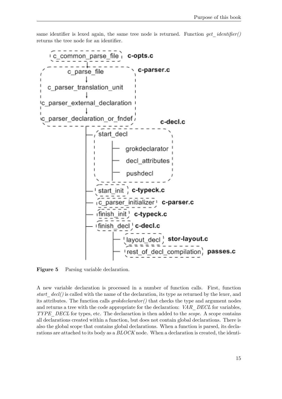same identifier is lexed again, the same tree node is returned. Function *get identifier()* returns the tree node for an identifier.



**Figure 5** Parsing variable declaration.

A new variable declaration is processed in a number of function calls. First, function *start\_decl()* is called with the name of the declaration, its type as returned by the lexer, and its attributes. The function calls *grokdeclarator()* that checks the type and argument nodes and returns a tree with the code appropriate for the declaration: *VAR\_DECL* for variables, *TYPE\_DECL* for types, etc. The declarartion is then added to the *scope*. A scope contains all declarations created within a function, but does not contain global declarations. There is also the global scope that contains global declarations. When a function is parsed, its declarations are attached to its body as a *BLOCK* node. When a declaration is created, the identi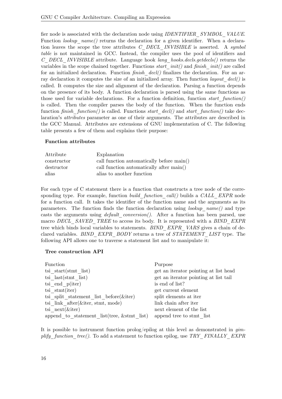fier node is associated with the declaration node using *IDENTIFIER\_SYMBOL\_VALUE*. Function *lookup* name() returns the declaration for a given identifier. When a declaration leaves the scope the tree attributes *C\_DECL\_INVISIBLE* is asserted. A *symbol table* is not maintained in GCC. Instead, the compiler uses the pool of identifiers and *C\_DECL\_INVISIBLE* attribute. Language hook *lang\_hooks.decls.getdecls()* returns the variables in the scope chained together. Functions *start\_init()* and *finish\_init()* are called for an initialized declaration. Function *finish\_decl()* finalizes the declaration. For an array declaration it computes the size of an initialized array. Then function *layout\_decl()* is called. It computes the size and alignment of the declaration. Parsing a function depends on the presence of its body. A function declaration is parsed using the same functions as those used for variable declarations. For a function definition, function *start\_function()* is called. Then the compiler parses the body of the function. When the function ends function *finish\_function()* is called. Functions *start\_decl()* and *start\_function()* take declaration's *attributes* parameter as one of their arguments. The attributes are described in the GCC Manual. Attributes are extensions of GNU implementation of C. The following table presents a few of them and explains their purpose:

#### **Function attributes**

| Attribute   | Explanation                               |
|-------------|-------------------------------------------|
| constructor | call function automatically before main() |
| destructor  | call function automatically after main()  |
| alias       | alias to another function                 |

For each type of C statement there is a function that constructs a tree node of the corresponding type. For example, function *build\_function\_call()* builds a *CALL\_EXPR* node for a function call. It takes the identifier of the function name and the arguments as its parameters. The function finds the function declaration using *lookup\_name()* and type casts the arguments using *default conversion()*. After a function has been parsed, use macro *DECL\_SAVED\_TREE* to access its body. It is represented with a *BIND\_EXPR* tree which binds local variables to statements. *BIND\_EXPR\_VARS* gives a chain of declared variables. *BIND\_EXPR\_BODY* returns a tree of *STATEMENT\_LIST* type. The following API allows one to traverse a statement list and to manipulate it:

#### **Tree construction API**

| Function                                    | Purpose                               |
|---------------------------------------------|---------------------------------------|
| tsi start $(\text{stmt}$ list)              | get an iterator pointing at list head |
| tsi $last(stmt list)$                       | get an iterator pointing at list tail |
| tsi end $p(iter)$                           | is end of list?                       |
| tsi $stmt(iter)$                            | get current element                   |
| tsi split statement list before $(\&$ iter) | split elements at iter                |
| tsi link after $(\&$ iter, stmt, mode)      | link chain after iter                 |
| tsi $next(\&iter)$                          | next element of the list              |
| append to statement list(tree, & stmt list) | append tree to stmt list              |

It is possible to instrument function prolog/epilog at this level as demonstrated in *gimplify\_function\_tree()*. To add a statement to function epilog, use *TRY\_FINALLY\_EXPR*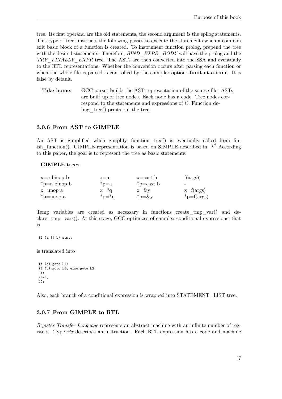tree. Its first operand are the old statements, the second argument is the epilog statements. This type of treet instructs the following passes to execute the statements when a common exit basic block of a function is created. To instrument function prolog, prepend the tree with the desired statements. Therefore, *BIND EXPR BODY* will have the prolog and the *TRY\_FINALLY\_EXPR* tree. The ASTs are then converted into the SSA and eventually to the RTL representations. Whether the conversion occurs after parsing each function or when the whole file is parsed is controlled by the compiler option **-funit-at-a-time**. It is false by default.

**Take home**: GCC parser builds the AST representation of the source file. ASTs are built up of tree nodes. Each node has a code. Tree nodes correspond to the statements and expressions of C. Function debug tree() prints out the tree.

#### **3.0.6 From AST to GIMPLE**

An AST is gimplified when gimplify function tree() is eventually called from finish function(). GIMPLE representation is based on SIMPLE described in  $[2]^{6}$  According to this paper, the goal is to represent the tree as basic statements:

#### **GIMPLE trees**

| $x=a$ binop b      | $x=a$         | $x = \text{cast} b$ | f(args)                  |
|--------------------|---------------|---------------------|--------------------------|
| $\ast$ p=a binop b | $p=a$         | $\gamma$ $=$ cast b | $\overline{\phantom{0}}$ |
| x=unop a           | $x = \nmid q$ | $x = \& v$          | $x=f(\arg s)$            |
| $\ast$ p=unop a    | $p^* = q^*$   | $*_{p=\&y}$         | $\text{*p=f(args)}$      |

Temp variables are created as necessary in functions create\_tmp\_var() and declare tmp vars(). At this stage, GCC optimizes of complex conditional expressions, that is

```
if (a || b) stmt;
```
is translated into

```
if (a) goto L1;
if (b) goto L1; else goto L2;
L1:
stmt;
L2:
```
Also, each branch of a conditional expression is wrapped into STATEMENT\_LIST tree.

### **3.0.7 From GIMPLE to RTL**

*Register Transfer Language* represents an abstract machine with an infinite number of registers. Type *rtx* describes an instruction. Each RTL expression has a code and machine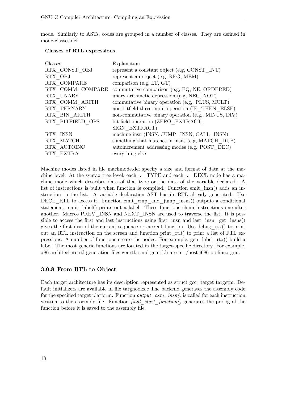mode. Similarly to ASTs, codes are grouped in a number of classes. They are defined in mode-classes.def.

#### **Classes of RTL expressions**

| Classes          | Explanation                                         |
|------------------|-----------------------------------------------------|
| RTX CONST OBJ    | represent a constant object (e.g. CONST INT)        |
| RTX OBJ          | represent an object (e.g, REG, MEM)                 |
| RTX COMPARE      | comparison (e.g. $LT$ , $GT$ )                      |
| RTX COMM COMPARE | commutative comparison (e.g, EQ, NE, ORDERED)       |
| RTX UNARY        | unary arithmetic expression (e.g, NEG, NOT)         |
| RTX COMM ARITH   | commutative binary operation (e.g., PLUS, MULT)     |
| RTX TERNARY      | non-bitfield three input operation (IF THEN ELSE)   |
| RTX BIN ARITH    | non-commutative binary operation (e.g., MINUS, DIV) |
| RTX BITFIELD OPS | bit-field operation (ZERO EXTRACT,                  |
|                  | SIGN EXTRACT)                                       |
| RTX INSN         | machine insn (INSN, JUMP INSN, CALL INSN)           |
| RTX MATCH        | something that matches in insns (e.g, MATCH DUP)    |
| RTX AUTOINC      | autoincrement addressing modes (e.g. POST DEC)      |
| RTX EXTRA        | everything else                                     |

Machine modes listed in file machmode.def specify a size and format of data at the machine level. At the syntax tree level, each ...\_TYPE and each ...\_DECL node has a machine mode which describes data of that type or the data of the variable declared. A list of instructions is built when function is compiled. Function emit\_insn() adds an instruction to the list. A variable declaration AST has its RTL already generated. Use DECL\_RTL to access it. Function emit\_cmp\_and\_jump\_insns() outputs a conditional statement. emit\_label() prints out a label. These functions chain instructions one after another. Macros PREV\_INSN and NEXT\_INSN are used to traverse the list. It is possible to access the first and last instructions using first insn and last insn. get insns() gives the first insn of the current sequence or current function. Use debug\_rtx() to print out an RTL instruction on the screen and function print  $rtl()$  to print a list of RTL expressions. A number of functions create the nodes. For example, gen\_label\_rtx() build a label. The most generic functions are located in the target-specific directory. For example, x86 architecture rtl generation files genrtl.c and genrtl.h are in ./host-i686-pc-linux-gnu.

### **3.0.8 From RTL to Object**

Each target architecture has its description represented as struct gcc\_target targetm. Default initializers are available in file targhooks.c The backend generates the assembly code for the specified target platform. Function *output\_asm\_insn()* is called for each instruction written to the assembly file. Function *final start function()* generates the prolog of the function before it is saved to the assembly file.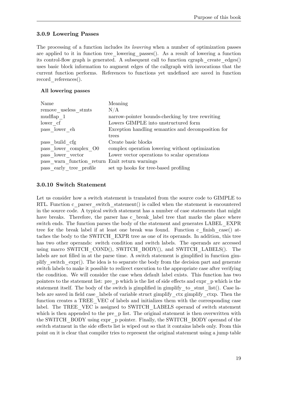## **3.0.9 Lowering Passes**

The processing of a function includes its *lowering* when a number of optimization passes are applied to it in function tree\_lowering\_passes(). As a result of lowering a function its control-flow graph is generated. A subsequent call to function cgraph  $\alpha$  create edges() uses basic block information to augment edges of the callgraph with invocations that the current function performs. References to functions yet undefined are saved in function record references().

### **All lowering passes**

| Name                                           | Meaning                                            |
|------------------------------------------------|----------------------------------------------------|
| remove useless stmts                           | N/A                                                |
| mudflap 1                                      | narrow-pointer bounds-checking by tree rewriting   |
| lower cf                                       | Lowers GIMPLE into unstructured form               |
| pass lower eh                                  | Exception handling semantics and decomposition for |
|                                                | trees                                              |
| pass build cfg                                 | Create basic blocks                                |
| pass lower complex O0                          | complex operation lowering without optimization    |
| pass lower vector                              | Lower vector operations to scalar operations       |
| pass warn function return Emit return warnings |                                                    |
| pass early tree profile                        | set up hooks for tree-based profiling              |

## **3.0.10 Switch Statement**

Let us consider how a switch statement is translated from the source code to GIMPLE to RTL. Function c\_parser\_switch\_statement() is called when the statement is encountered in the source code. A typical switch statement has a number of case statements that might have breaks. Therefore, the parser has c\_break\_label tree that marks the place where switch ends. The function parses the body of the statement and generates LABEL\_EXPR tree for the break label if at least one break was found. Function c\_finish\_case() attaches the body to the SWITCH\_EXPR tree as one of its operands. In addition, this tree has two other operands: switch condition and switch labels. The operands are accessed using macro SWITCH COND(), SWITCH BODY(), and SWITCH LABELS(). The labels are not filled in at the parse time. A switch statement is gimplified in function gimplify switch expr(). The idea is to separate the body from the decision part and generate switch labels to make it possible to redirect execution to the appropriate case after verifying the condition. We will consider the case when default label exists. This function has two pointers to the statement list: pre\_p which is the list of side effects and expr\_p which is the statement itself. The body of the switch is gimplified in gimplify to stmt  $list()$ . Case labels are saved in field case—labels of variable struct gimplify—ctx gimplify—ctxp. Then the function creates a TREE\_VEC of labels and initializes them with the corresponding case label. The TREE VEC is assigned to SWITCH LABELS operand of switch statement which is then appended to the pre p list. The original statement is then overwritten with the SWITCH\_BODY using expr\_p pointer. Finally, the SWITCH\_BODY operand of the switch statment in the side effects list is wiped out so that it contains labels only. From this point on it is clear that compiler tries to represent the original statement using a jump table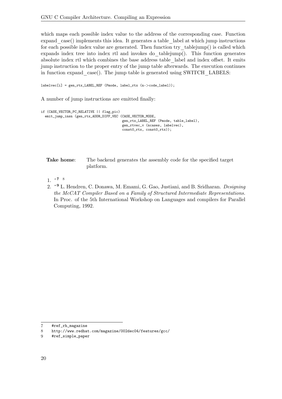which maps each possible index value to the address of the corresponding case. Function expand\_case() implements this idea. It generates a table\_label at which jump instructions for each possible index value are generated. Then function try\_tablejump() is called which expands index tree into index rtl and invokes do\_tablejump(). This function generates absolute index rtl which combines the base address table\_label and index offset. It emits jump instruction to the proper entry of the jump table afterwards. The execution continues in function expand case(). The jump table is generated using SWITCH LABELS:

labelvec[i] = gen\_rtx\_LABEL\_REF (Pmode, label\_rtx (n-*>*code\_label));

A number of jump instructions are emitted finally:

```
if (CASE_VECTOR_PC_RELATIVE || flag_pic)
  emit_jump_insn (gen_rtx_ADDR_DIFF_VEC (CASE_VECTOR_MODE,
                                         gen_rtx_LABEL_REF (Pmode, table_label),
                                         gen_rtvec_v (ncases, labelvec),
                                         const0_rtx, const0_rtx));
```
**Take home:** The backend generates the assembly code for the specified target platform.

- 1.  $\sim 78$  $\sim 78$  $\sim 78$
- 2. **ˆ [9](#page-22-2)** L. Hendren, C. Donawa, M. Emami, G. Gao, Justiani, and B. Sridharan. *Designing the McCAT Compiler Based on a Family of Structured Intermediate Representations.* In Proc. of the 5th International Workshop on Languages and compilers for Parallel Computing, 1992.

<span id="page-22-0"></span><sup>7</sup> [#ref\\_rh\\_magazine](#ref_rh_magazine)

<span id="page-22-1"></span><sup>8</sup> <http://www.redhat.com/magazine/002dec04/features/gcc/>

<span id="page-22-2"></span><sup>9</sup> [#ref\\_simple\\_paper](#ref_simple_paper)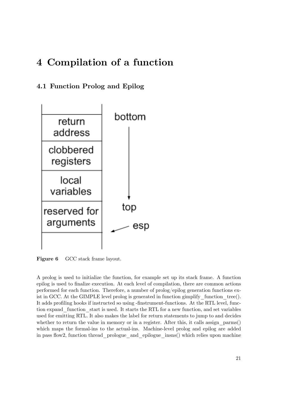# <span id="page-23-0"></span>**4 Compilation of a function**

# <span id="page-23-1"></span>**4.1 Function Prolog and Epilog**



**Figure 6** GCC stack frame layout.

A prolog is used to initialize the function, for example set up its stack frame. A function epilog is used to finalize execution. At each level of compilation, there are common actions performed for each function. Therefore, a number of prolog/epilog generation functions exist in GCC. At the GIMPLE level prolog is generated in function gimplify function  $tree()$ . It adds profiling hooks if instructed so using -finstrument-functions. At the RTL level, function expand\_function\_start is used. It starts the RTL for a new function, and set variables used for emitting RTL. It also makes the label for return statements to jump to and decides whether to return the value in memory or in a register. After this, it calls assign  $\gamma$  parms() which maps the formal-ins to the actual-ins. Machine-level prolog and epilog are added in pass flow2, function thread prologue and epilogue insns() which relies upon machine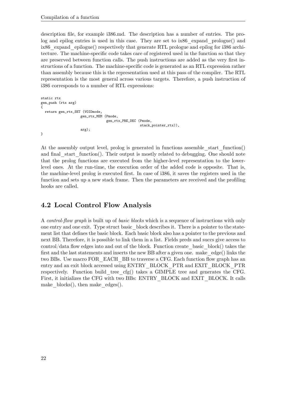description file, for example i386.md. The description has a number of entries. The prolog and epilog entries is used in this case. They are set to ix86\_expand\_prologue() and ix86 expand epilogue() respectively that generate RTL prologue and epilog for i386 architecture. The machine-specific code takes care of registered used in the function so that they are preserved between function calls. The push instructions are added as the very first instructions of a function. The machine-specific code is generated as an RTL expression rather than assembly because this is the representation used at this pass of the compiler. The RTL representation is the most general across various targets. Therefore, a push instruction of i386 corresponds to a number of RTL expressions:

```
static rtx
gen_push (rtx arg)
{
 return gen_rtx_SET (VOIDmode,
                    gen_rtx_MEM (Pmode,
                                  gen_rtx_PRE_DEC (Pmode,
                                                   stack_pointer_rtx)),
                    arg);
}
```
At the assembly output level, prolog is generated in functions assemble start function() and final start function(). Their output is mostly related to debugging. One should note that the prolog functions are executed from the higher-level representation to the lowerlevel ones. At the run-time, the execution order of the added code is opposite. That is, the machine-level prolog is executed first. In case of i386, it saves the registers used in the function and sets up a new stack frame. Then the parameters are received and the profiling hooks are called.

# <span id="page-24-0"></span>**4.2 Local Control Flow Analysis**

A *control-flow graph* is built up of *basic blocks* which is a sequence of instructions with only one entry and one exit. Type struct basic\_block describes it. There is a pointer to the statement list that defines the basic block. Each basic block also has a pointer to the previous and next BB. Therefore, it is possible to link them in a list. Fields preds and succs give access to control/data flow edges into and out of the block. Function create\_basic\_block() takes the first and the last statements and inserts the new BB after a given one. make  $\deg(e)$  links the two BBs. Use macro FOR\_EACH\_BB to traverse a CFG. Each function flow graph has an entry and an exit block accessed using ENTRY\_BLOCK\_PTR and EXIT\_BLOCK\_PTR respectively. Function build\_tree\_cfg() takes a GIMPLE tree and generates the CFG. First, it initializes the CFG with two BBs: ENTRY\_BLOCK and EXIT\_BLOCK. It calls make  $\text{blocks}()$ , then make  $\text{edges}().$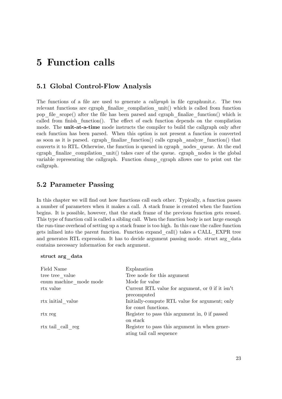# <span id="page-25-0"></span>**5 Function calls**

## <span id="page-25-1"></span>**5.1 Global Control-Flow Analysis**

The functions of a file are used to generate a *callgraph* in file cgraphunit.c. The two relevant functions are cgraph finalize compilation unit() which is called from function pop file scope() after the file has been parsed and cgraph finalize function() which is called from finish function $($ ). The effect of each function depends on the compilation mode. The **unit-at-a-time** mode instructs the compiler to build the callgraph only after each function has been parsed. When this option is not present a function is converted as soon as it is parsed. cgraph\_finalize\_function() calls cgraph\_analyze\_function() that converts it to RTL. Otherwise, the function is queued in cgraph\_nodes\_queue. At the end cgraph  $finalize$  compilation unit() takes care of the queue. cgraph nodes is the global variable representing the callgraph. Function dump\_cgraph allows one to print out the callgraph.

## <span id="page-25-2"></span>**5.2 Parameter Passing**

In this chapter we will find out how functions call each other. Typically, a function passes a number of parameters when it makes a call. A stack frame is created when the function begins. It is possible, however, that the stack frame of the previous function gets reused. This type of function call is called a sibling call. When the function body is not large enough the run-time overhead of setting up a stack frame is too high. In this case the callee function gets inlined into the parent function. Function expand\_call() takes a CALL\_EXPR tree and generates RTL expression. It has to decide argument passing mode. struct arg\_data contains necessary information for each argument.

#### **struct arg\_data**

| Field Name             | Explanation                                                               |
|------------------------|---------------------------------------------------------------------------|
| tree tree value        | Tree node for this argument                                               |
| enum machine mode mode | Mode for value                                                            |
| rtx value              | Current RTL value for argument, or 0 if it isn't<br>precomputed           |
| rtx initial value      | Initially-compute RTL value for argument; only<br>for const functions.    |
| rtx reg                | Register to pass this argument in, 0 if passed<br>on stack                |
| rtx tail call reg      | Register to pass this argument in when gener-<br>ating tail call sequence |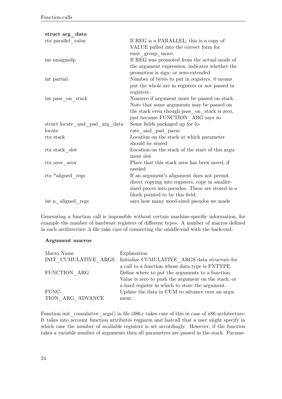| struct arg data                |                                                  |
|--------------------------------|--------------------------------------------------|
| rtx parallel_value             | If REG is a PARALLEL, this is a copy of          |
|                                | VALUE pulled into the correct form for           |
|                                | emit group move.                                 |
| int unsignedp                  | If REG was promoted from the actual mode of      |
|                                | the argument expression, indicates whether the   |
|                                | promotion is sign- or zero-extended              |
| int partial                    | Number of bytes to put in registers. 0 means     |
|                                | put the whole are in registers or not passed in  |
|                                | registers.                                       |
| int pass on stack              | Nonzero if argument must be passed on stack.     |
|                                | Note that some arguments may be passed on        |
|                                | the stack even though pass on stack is zero,     |
|                                | just because FUNCTION ARG says so                |
| struct locate and pad arg data | Some fields packaged up for lo-                  |
| locate                         | cate and pad parm                                |
| rtx stack                      | Location on the stack at which parameter         |
|                                | should be stored                                 |
| rtx stack slot                 | Location on the stack of the start of this argu- |
|                                | ment slot                                        |
| $\,$ rtx $\,$ save $\_$ area   | Place that this stack area has been saved, if    |
|                                | needed                                           |
| rtx *aligned regs              | If an argument's alignment does not permit       |
|                                | direct copying into registers, copy in smaller-  |
|                                | sized pieces into pseudos. These are stored in a |
|                                | block pointed to by this field.                  |
| int n aligned regs             | says how many word-sized pseudos we made         |

Generating a function call is impossible without certain machine-specific information, for example the number of hardware registers of different types. A number of macros defined in each architecture .h file take care of connecting the middle-end with the back-end:

#### **Argument macros**

| Macro Name           | Explanation                                         |
|----------------------|-----------------------------------------------------|
| INIT CUMULATIVE ARGS | Initialize CUMULATIVE ARGS data structure for       |
|                      | a call to a function whose data type is FNTYPE.     |
| FUNCTION ARG         | Define where to put the arguments to a function.    |
|                      | Value is zero to push the argument on the stack, or |
|                      | a hard register in which to store the argument.     |
| FUNC-                | Update the data in CUM to advance over an argu-     |
| TION ARG ADVANCE     | ment.                                               |

Function init cumulative args() in file i386.c takes care of this in case of x86 architecture. It takes into account function attributes regparm and fastcall that a user might specify in which case the number of available registers is set accordingly. However, if the function takes a variable number of arguments then all parameters are passed in the stack. Parame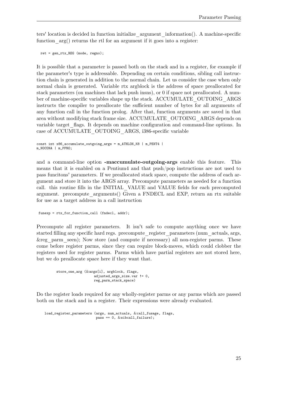ters' location is decided in function initialize\_argument\_information(). A machine-specific function  $arg()$  returns the rtl for an argument if it goes into a register:

ret = gen\_rtx\_REG (mode, regno);

It is possible that a parameter is passed both on the stack and in a register, for example if the parameter's type is addressable. Depending on certain conditions, sibling call instruction chain is generated in addition to the normal chain. Let us consider the case when only normal chain is generated. Variable rtx argblock is the address of space preallocated for stack parameters (on machines that lack push insns), or 0 if space not preallocated. A number of machine-specific variables shape up the stack. ACCUMULATE\_OUTOING\_ARGS instructs the compiler to preallocate the sufficient number of bytes for all arguments of any function call in the function prolog. After that, function arguments are saved in that area without modifying stack frame size. ACCUMULATE\_OUTOING\_ARGS depends on variable target\_flags. It depends on machine configuration and command-line options. In case of ACCUMULATE\_OUTOING\_ARGS, i386-specific variable

```
const int x86_accumulate_outgoing_args = m_ATHLON_K8 | m_PENT4 |
m_NOCONA | m_PPRO;
```
and a command-line option **-maccumulate-outgoing-args** enable this feature. This means that it is enabled on a Pentium4 and that push/pop instructions are not used to pass funcitons' parameters. If we preallocated stack space, compute the address of each argument and store it into the ARGS array. Precompute parameters as needed for a function call. this routine fills in the INITIAL\_VALUE and VALUE fields for each precomputed argument. precompute\_arguments() Given a FNDECL and EXP, return an rtx suitable for use as a target address in a call instruction

funexp = rtx\_for\_function\_call (fndecl, addr);

Precompute all register parameters. It isn't safe to compute anything once we have started filling any specific hard regs. precompute\_register\_parameters (num\_actuals, args, &reg\_parm\_seen); Now store (and compute if necessary) all non-register parms. These come before register parms, since they can require block-moves, which could clobber the registers used for register parms. Parms which have partial registers are not stored here, but we do preallocate space here if they want that.

```
store_one_arg (&args[i], argblock, flags,
                  adjusted_args_size.var != 0,
                  reg_parm_stack_space)
```
Do the register loads required for any wholly-register parms or any parms which are passed both on the stack and in a register. Their expressions were already evaluated.

load\_register\_parameters (args, num\_actuals, &call\_fusage, flags, pass == 0, &sibcall\_failure);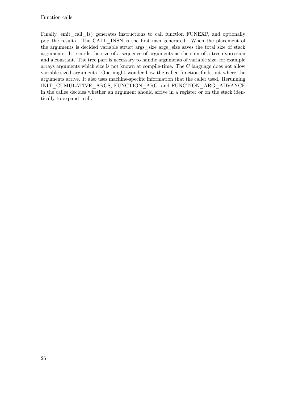Finally, emit call 1() generates instructions to call function FUNEXP, and optionally pop the results. The CALL\_INSN is the first insn generated. When the placement of the arguments is decided variable struct args\_size args\_size saves the total size of stack arguments. It records the size of a sequence of arguments as the sum of a tree-expression and a constant. The tree part is necessary to handle arguments of variable size, for example arrays arguments which size is not known at compile-time. The C language does not allow variable-sized arguments. One might wonder how the callee function finds out where the arguments arrive. It also uses machine-specific information that the caller used. Rerunning INIT\_CUMULATIVE\_ARGS, FUNCTION\_ARG, and FUNCTION\_ARG\_ADVANCE in the callee decides whether an argument should arrive in a register or on the stack identically to expand\_call.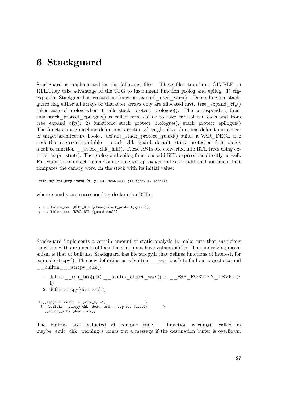# <span id="page-29-0"></span>**6 Stackguard**

Stackguard is implemented in the following files. These files translates GIMPLE to RTL.They take advantage of the CFG to instrument function prolog and epilog. 1) cfgexpand.c Stackguard is created in function expand\_used\_vars(). Depending on stackguard flag either all arrays or character arrays only are allocated first. tree expand  $cfg()$ takes care of prolog when it calls stack\_protect\_prologue(). The corresponding function stack\_protect\_epilogue() is called from calls.c to take care of tail calls and from tree expand cfg(); 2) function.c stack protect prologue(), stack protect epilogue() The functions use machine definition targetm. 3) targhooks.c Contains default initializers of target architecture hooks. default\_stack\_protect\_guard() builds a VAR\_DECL tree node that represents variable \_\_stack\_chk\_guard. default\_stack\_protector\_fail() builds a call to function  $\epsilon$  stack chk fail(). These ASTs are converted into RTL trees using expand\_expr\_stmt(). The prolog and epilog functions add RTL expressions directly as well. For example, to detect a compromise function epilog generates a conditional statement that compares the canary word on the stack with its initial value:

emit\_cmp\_and\_jump\_insns (x, y, EQ, NULL\_RTX, ptr\_mode, 1, label);

where x and y are corresponding declaration RTLs:

```
x = validize_mem (DECL_RTL (cfun->stack_protect_guard));
y = \text{validize\_mem} (DECL_RTL (guard_decl));
```
Stackguard implements a certain amount of static analysis to make sure that suspicious functions with arguments of fixed length do not have vulnerabilities. The underlying mechanism is that of builtins. Stackguard has file strcpy.h that defines functions of interest, for example strcpy(). The new definition uses builtins  $\_\_\simeq$  ssp $\_\text{bos}$ () to find out object size and  $\frac{\text{builtin}}{\text{exp}(x)}$  strcpy $\frac{\text{chk}(x)}{x}$ 

- 1. define ssp bos(ptr) builtin object size (ptr, SSP\_FORTIFY\_LEVEL *>* 1)
- 2. define strcpy(dest, src)  $\setminus$

```
((\_ssp\_\text{bos} \text{ (dest)} != (\text{size}\_\text{t}) -1) \? __builtin___strcpy_chk (dest, src, __ssp_bos (dest)) \
 : __strcpy_ichk (dest, src))
```
The builtins are evaluated at compile time. Function warning() called in maybe emit chk warning() prints out a message if the destination buffer is overflown.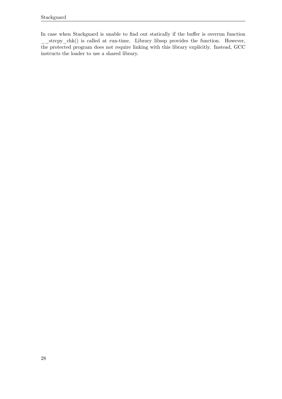In case when Stackguard is unable to find out statically if the buffer is overrun function strcpy chk() is called at run-time. Library libssp provides the function. However, the protected program does not require linking with this library explicitly. Instead, GCC instructs the loader to use a shared library.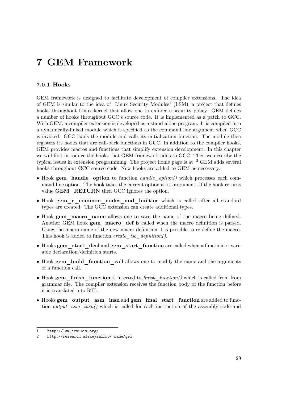# <span id="page-31-0"></span>**7 GEM Framework**

### **7.0.1 Hooks**

GEM framework is designed to facilitate development of compiler extensions. The idea of GEM is similar to the idea of Linux Security Modules<sup>[1](#page-31-1)</sup> (LSM), a project that defines hooks throughout Linux kernel that allow one to enforce a security policy. GEM defines a number of hooks throughout GCC's source code. It is implemented as a patch to GCC. With GEM, a compiler extension is developed as a stand-alone program. It is compiled into a dynamically-linked module which is specified as the command line argument when GCC is invoked. GCC loads the module and calls its initialization function. The module then registers its hooks that are call-back functions in GCC. In addition to the compiler hooks, GEM provides macros and functions that simplify extension development. In this chapter we will first introduce the hooks that GEM framework adds to GCC. Then we describe the typical issues in extension programming. The project home page is at  $2$  GEM adds several hooks throughout GCC source code. New hooks are added to GEM as necessary.

- Hook **gem\_handle\_option** to function *handle\_option()* which processes each command line option. The hook takes the current option as its argument. If the hook returns value **GEM** RETURN then GCC ignores the option.
- Hook **gem\_c\_common\_nodes\_and\_builtins** which is called after all standard types are created. The GCC extension can create additional types.
- Hook **gem\_macro\_name** allows one to save the name of the macro being defined. Another GEM hook **gem\_macro\_def** is called when the macro definition is parsed. Using the macro name of the new macro definition it is possible to re-define the macro. This hook is added to function *create\_iso\_definition()*.
- Hooks **gem\_start\_decl** and **gem\_start\_function** are called when a function or variable declaration/definition starts.
- Hook **gem** build function call allows one to modify the name and the arguments of a function call.
- Hook **gem\_finish\_function** is inserted to *finish\_function()* which is called from from grammar file. The compiler extension receives the function body of the function before it is translated into RTL.
- Hooks **gem\_output\_asm\_insn** and **gem\_final\_start\_function** are added to function *output* asm insn() which is called for each instruction of the assembly code and

<span id="page-31-1"></span><sup>1</sup> <http://lsm.immunix.org/>

<span id="page-31-2"></span><sup>2</sup> <http://research.alexeysmirnov.name/gem>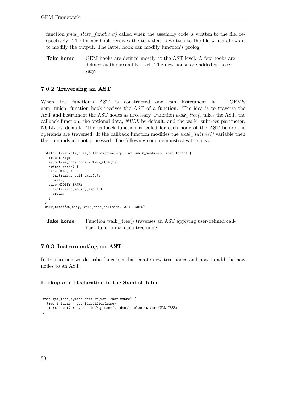function *final* start function() called when the assembly code is written to the file, respectively. The former hook receives the text that is written to the file which allows it to modify the output. The latter hook can modify function's prolog.

**Take home:** GEM hooks are defined mostly at the AST level. A few hooks are defined at the assembly level. The new hooks are added as necessary.

#### **7.0.2 Traversing an AST**

When the function's AST is constructed one can instrument it. GEM's gem\_finish\_function hook receives the AST of a function. The idea is to traverse the AST and instrument the AST nodes as necessary. Function *walk\_tree()* takes the AST, the callback function, the optional data, *NULL* by default, and the walk\_subtrees parameter, NULL by default. The callback function is called for each node of the AST before the operands are traversed. If the callback function modifies the *walk\_subtree()* variable then the operands are not processed. The following code demonstrates the idea:

```
static tree walk_tree_callback(tree *tp, int *walk_subtrees, void *data) {
  tree t=*tp;
  enum tree_code code = TREE\_CODE(t);
 switch (code) {
 case CALL_EXPR:
   instrument_call_expr(t);
   break;
  case MODIFY_EXPR:
   instrument_modify_expr(t);
   break;
 }
}
walk_tree(&t_body, walk_tree_callback, NULL, NULL);
```
**Take home:** Function walk tree() traverses an AST applying user-defined callback function to each tree node.

#### **7.0.3 Instrumenting an AST**

In this section we describe functions that create new tree nodes and how to add the new nodes to an AST.

#### **Lookup of a Declaration in the Symbol Table**

```
void gem_find_symtab(tree *t_var, char *name) {
  tree t_ident = get_identifier(name);
  if (t_ident) *t_var = lookup_name(t_ident); else *t_var=NULL_TREE;
\mathbf{I}
```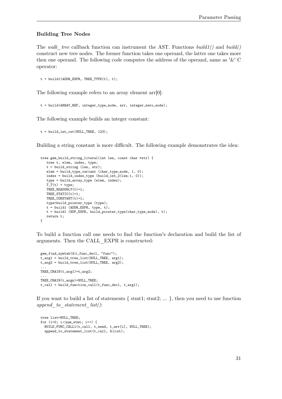#### **Building Tree Nodes**

The *walk\_tree* callback function can instrument the AST. Functions *build1()* and *build()* construct new tree nodes. The former function takes one operand, the latter one takes more then one operand. The following code computes the address of the operand, same as '&' C operator:

```
t = build1(ADDR_EXPR, TREE_TYPE(t), t);
```
The following example refers to an array element  $\arcsin 0$ :

```
t = build(ARRAY_REF, integer_type_node, arr, integer_zero_node);
```
The following example builds an integer constant:

 $t = \text{build-int\_cst}(\text{NULL\_TREE}, 123);$ 

Building a string constant is more difficult. The following example demonstrates the idea:

```
tree gem_build_string_literal(int len, const char *str) {
  tree t, elem, index, type;
  t = build_string (len, str);
  elem = build_type_variant (char_type_node, 1, 0);
  index = build_index_type (build_int_2(len-1, 0));
  type = build_array_type (elem, index);
  T_T(t) = type;TREE_READONLY(t)=1;
  TREE_STATIC(t)=1;
  TREE_CONSTANT(t)=1;
  type=build_pointer_type (type);
  t = build1 (ADDR_EXPR, type, t);
  t = build1 (NOP_EXPR, build_pointer_type(char_type_node), t);
  return t;
}
```
To build a function call one needs to find the function's declaration and build the list of arguments. Then the CALL\_EXPR is constructed:

```
gem_find_symtab(&t_func_decl, "func");
t_arg1 = build_tree_list(NULL_TREE, arg1);
t_{\texttt{arg2}} = \text{build\_tree\_list}(\text{NULL\_TREE}, \text{arg2});...
TREE_CHAIN(t_arg1)=t_arg2;
...
TREE_CHAIN(t_argn)=NULL_TREE;
t_{call} = \text{build_function}_call(t_{func\_decl}, t_{argl});
```
If you want to build a list of statements  $\{ \text{stmt1}; \text{stmt2}; \dots \}$ , then you need to use function *append\_to\_statement\_list()*:

```
tree list=NULL_TREE;
for (i=0; i<num_stmt; i++) {
 BUILD_FUNC_CALL1(t_call, t_send, t_arr[i], NULL_TREE);
 append_to_statement_list(t_call, &list);
```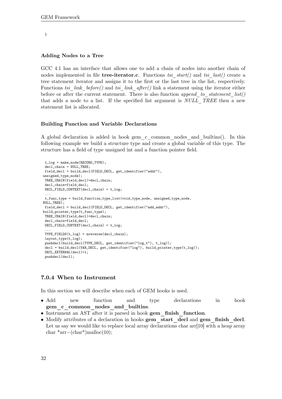#### }

#### **Adding Nodes to a Tree**

GCC 4.1 has an interface that allows one to add a chain of nodes into another chain of nodes implemented in file **tree-iterator.c**. Functions *tsi\_start()* and *tsi\_last()* create a tree statement iterator and assigns it to the first or the last tree in the list, respectively. Functions *tsi\_link\_before()* and *tsi\_link\_after()* link a statement using the iterator either before or after the current statement. There is also function *append\_to\_statement\_list()* that adds a node to a list. If the specified list argument is *NULL\_TREE* then a new statement list is allocated.

#### **Building Function and Variable Declarations**

A global declaration is added in hook gem\_c\_common\_nodes\_and\_builtins(). In this following example we build a structure type and create a global variable of this type. The structure has a field of type unsigned int and a function pointer field.

```
t_log = make_node(RECORD_TYPE);
decl_chain = NULL_TREE;
field_decl = build_decl(FIELD_DECL, get_identifier("addr"),
unsigned_type_node);
TREE_CHAIN(field_decl)=decl_chain;
decl_chain=field_decl;
DECL_FIELD_CONTEXT(decl_chain) = t_log;
 ...
t_func_type = build_function_type_list(void_type_node, unsigned_type_node,
NULL_TREE);
field_decl = build_decl(FIELD_DECL, get_identifier("add_addr"),
build_pointer_type(t_func_type);
TREE_CHAIN(field_decl)=decl_chain;
decl_chain=field_decl;
DECL_FIELD_CONTEXT(decl_chain) = t_log;
 ...
TYPE_FIELDS(t_log) = nreverse(decl_chain);
layout_type(t_log);
pushdecl(build_decl(TYPE_DECL, get_identifier("log_t"), t_log));
decl = build_decl(VAR_DECL, get_identifier("log"), build_pointer_type(t_log));
DECL_EXTERNAL(decl)=1;
pushdecl(decl);
```
#### **7.0.4 When to Instrument**

In this section we will describe when each of GEM hooks is used.

- Add new function and type declarations in hook **gem\_c\_common\_nodes\_and\_builtins**.
- Instrument an AST after it is parsed in hook **gem\_finish\_function**.
- Modify attributes of a declaration in hooks **gem\_start\_decl** and **gem\_finish\_decl**. Let us say we would like to replace local array declarations char  $\arctan 10$  with a heap array char  $*arr=(char*)$ malloc $(10)$ ;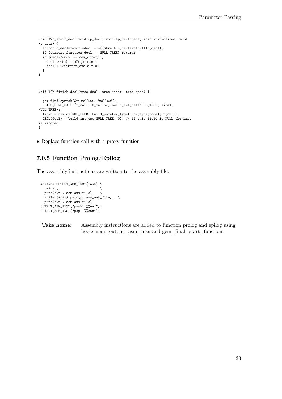```
void l2h_start_decl(void *p_decl, void *p_declspecs, init initialized, void
*p_attr) {
  struct c_declarator *decl = *((struct c_declarator**)p_decl);
  if (current_function_decl == NULL_TREE) return;
 if (decl->kind == cdk_array) {
   decl->kind = cdk_pointer;
   decl->u.pointer_quals = 0;
 }
}
void l2h_finish_decl(tree decl, tree *init, tree spec) {
  ...
  gem_find_symtab(&t_malloc, "malloc");
  BUILD_FUNC_CALL1(t_call, t_malloc, build_int_cst(NULL_TREE, size),
NULL_TREE);
  *init = build1(NOP_EXPR, build_pointer_type(char_type_node), t_call);
 DECL(decl) = build_int_cst(NULL_TREE, 0); // if this field is NULL the init
is ignored
}
```
• Replace function call with a proxy function

### **7.0.5 Function Prolog/Epilog**

The assembly instructions are written to the assembly file:

```
#define OUTPUT_ASM_INST(inst) \
  p=inst; \
 putc('t', asm.out_file); \quad \while (*p++) putc(p, asm_out_file); \
 putc('\n', asm_out_file);
OUTPUT_ASM_INST("pushl %%eax");
OUTPUT_ASM_INST("popl %%eax");
```

```
Take home: Assembly instructions are added to function prolog and epilog using
               hooks gem_output_asm_insn and gem_final_start_function.
```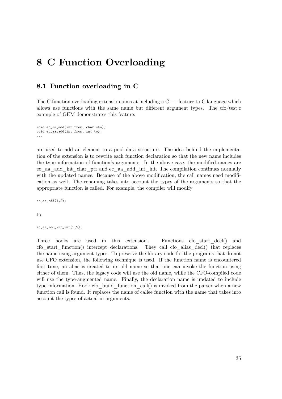# **8 C Function Overloading**

### **8.1 Function overloading in C**

The C function overloading extension aims at including a  $C_{++}$  feature to C language which allows use functions with the same name but different argument types. The cfo/test.c example of GEM demonstrates this feature:

```
void ec_aa_add(int from, char *to);
void ec_aa_add(int from, int to);
...
```
are used to add an element to a pool data structure. The idea behind the implementation of the extension is to rewrite each function declaration so that the new name includes the type information of function's arguments. In the above case, the modified names are ec\_aa\_add\_int\_char\_ptr and ec\_aa\_add\_int\_int. The compilation continues normally with the updated names. Because of the above modification, the call names need modification as well. The renaming takes into account the types of the arguments so that the appropriate function is called. For example, the compiler will modify

 $ec_aa_add(1,2);$ 

 $t<sub>0</sub>$ 

```
ec_aa_add_int_int(1,2);
```
Three hooks are used in this extension. Functions cfo start decl() and cfo\_start\_function() intercept declarations. They call cfo\_alias\_decl() that replaces the name using argument types. To preserve the library code for the programs that do not use CFO extension, the following technique is used. If the function name is encountered first time, an alias is created to its old name so that one can invoke the function using either of them. Thus, the legacy code will use the old name, while the CFO-compiled code will use the type-augmented name. Finally, the declaration name is updated to include type information. Hook cfo\_build\_function\_call() is invoked from the parser when a new function call is found. It replaces the name of callee function with the name that takes into account the types of actual-in arguments.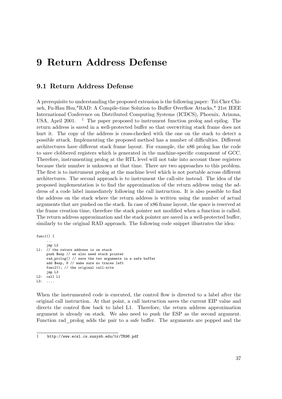# **9 Return Address Defense**

### **9.1 Return Address Defense**

A prerequisite to understanding the proposed extension is the following paper: Tzi-Cker Chiueh, Fu-Hau Hsu,"RAD: A Compile-time Solution to Buffer Overflow Attacks," 21st IEEE International Conference on Distributed Computing Systems (ICDCS), Phoenix, Arizona, USA, April 200[1](#page-39-0).  $\frac{1}{1}$  The paper proposed to instrument function prolog and epilog. The return address is saved in a well-protected buffer so that overwriting stack frame does not hurt it. The copy of the address is cross-checked with the one on the stack to detect a possible attack. Implementing the proposed method has a number of difficulties. Different architectures have different stack frame layout. For example, the x86 prolog has the code to save clobbered registers which is generated in the machine-specific component of GCC. Therefore, instrumenting prolog at the RTL level will not take into account those registers because their number is unknown at that time. There are two approaches to this problem. The first is to instrument prolog at the machine level which is not portable across different architectures. The second approach is to instrument the call-site instead. The idea of the proposed implementation is to find the approximation of the return address using the address of a code label immediately following the call instruction. It is also possible to find the address on the stack where the return address is written using the number of actual arguments that are pushed on the stack. In case of x86 frame layout, the space is reserved at the frame creation time, therefore the stack pointer not modified when a function is called. The return address approximation and the stack pointer are saved in a well-protected buffer, similarly to the original RAD approach. The following code snippet illustrates the idea:

```
func1() {
     ...
     jmp L2
L1: // the return address is on stack
     push $esp // we also need stack pointer
     rad_prolog() // save the two arguments in a safe buffer
     add $esp, 8 // make sure no traces left
     func2(); // the original call-site
     jmp L3
L2: call L1
L3: ....
```
When the instrumented code is executed, the control flow is directed to a label after the original call instruction. At that point, a call instruction saves the current EIP value and directs the control flow back to label L1. Therefore, the return address approximation argument is already on stack. We also need to push the ESP as the second argument. Function rad\_prolog adds the pair to a safe buffer. The arguments are popped and the

<span id="page-39-0"></span><sup>1</sup> <http://www.ecsl.cs.sunysb.edu/tr/TR96.pdf>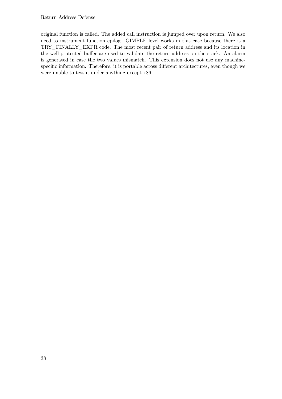original function is called. The added call instruction is jumped over upon return. We also need to instrument function epilog. GIMPLE level works in this case because there is a TRY\_FINALLY\_EXPR code. The most recent pair of return address and its location in the well-protected buffer are used to validate the return address on the stack. An alarm is generated in case the two values mismatch. This extension does not use any machinespecific information. Therefore, it is portable across different architectures, even though we were unable to test it under anything except x86.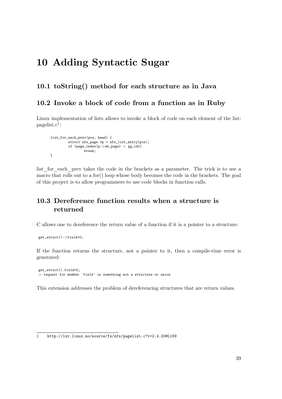# **10 Adding Syntactic Sugar**

### **10.1 toString() method for each structure as in Java**

### **10.2 Invoke a block of code from a function as in Ruby**

Linux implementation of lists allows to invoke a block of code on each element of the list:  $pagelist.c<sup>1</sup>$  $pagelist.c<sup>1</sup>$  $pagelist.c<sup>1</sup>$ :

```
list_for_each_prev(pos, head) {
        struct nfs_page *p = nfs_list_entry(pos);
        if (page_index(p->wb_page) < pg_idx)
                break;
}
```
list for each prev takes the code in the brackets as a parameter. The trick is to use a macro that rolls out to a for() loop whose body becomes the code in the brackets. The goal of this project is to allow programmers to use code blocks in function calls.

## **10.3 Dereference function results when a structure is returned**

C allows one to dereference the return value of a function if it is a pointer to a structure:

```
get_struct()->field=0;
```
If the function returns the structure, not a pointer to it, then a compile-time error is generated:

```
get_struct().field=0;
> request for member `field' in something not a structure or union
```
This extension addresses the problem of dereferencing structures that are return values.

<span id="page-41-0"></span><sup>1</sup> <http://lxr.linux.no/source/fs/nfs/pagelist.c?v=2.4.20#L199>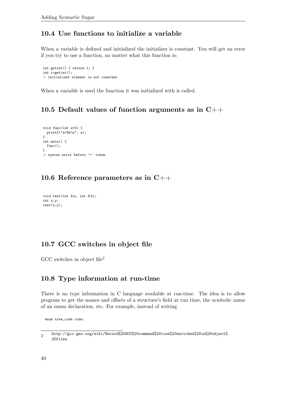## **10.4 Use functions to initialize a variable**

When a variable is defined and initialized the initializer is constant. You will get an error if you try to use a function, no matter what this function is:

int getint() { return 1; } int i=getint(); *>* initializer element is not constant

When a variable is used the function it was initialized with is called.

## **10.5 Default values of function arguments as in C++**

```
void func(int a=0) {
 printf("a=%d\n", a);
}
int main() {
  func();
}
> syntax error before '=' token
```
## **10.6 Reference parameters as in C++**

```
void test(int \&a, int \&b);
int x,y;
test(x,y);
```
## **10.7 GCC switches in object file**

GCC switches in object file<sup>[2](#page-42-0)</sup>

### **10.8 Type information at run-time**

There is no type information in C language available at run-time. The idea is to allow program to get the names and offsets of a structure's field at run time, the symbolic name of an enum declaration, etc. For example, instead of writing

enum tree\_code code;

<span id="page-42-0"></span> $\overline{2}$ [http://gcc.gnu.org/wiki/Record%20GCC%20command%20line%20switches%20in%20object%](http://gcc.gnu.org/wiki/Record%20GCC%20command%20line%20switches%20in%20object%20files) [20files](http://gcc.gnu.org/wiki/Record%20GCC%20command%20line%20switches%20in%20object%20files)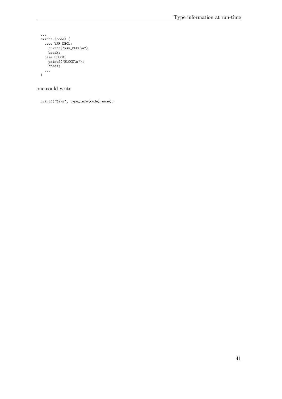```
...
switch (code) {
  case VAR_DECL:
   printf("VAR_DECL\n");
    break;
  case BLOCK:
    printf("BLOCK\n");
    break;
  ...
}
```
one could write

printf("%s\n", type\_info(code).name);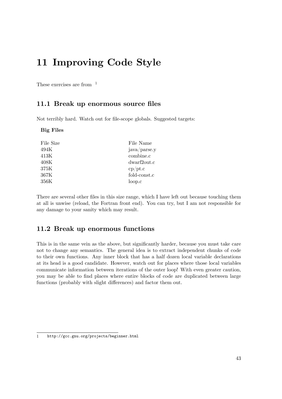# **11 Improving Code Style**

These exercises are from  $1$ 

### **11.1 Break up enormous source files**

Not terribly hard. Watch out for file-scope globals. Suggested targets:

#### **Big Files**

| File Size       | File Name    |
|-----------------|--------------|
| 494K            | java/parse.y |
| 413K            | combine.c    |
| $408\mathrm{K}$ | dwarf2out.c  |
| 375K            | cp/pt.c      |
| 367K            | fold-const.c |
| 356K            | loop.c       |
|                 |              |

There are several other files in this size range, which I have left out because touching them at all is unwise (reload, the Fortran front end). You can try, but I am not responsible for any damage to your sanity which may result.

### **11.2 Break up enormous functions**

This is in the same vein as the above, but significantly harder, because you must take care not to change any semantics. The general idea is to extract independent chunks of code to their own functions. Any inner block that has a half dozen local variable declarations at its head is a good candidate. However, watch out for places where those local variables communicate information between iterations of the outer loop! With even greater caution, you may be able to find places where entire blocks of code are duplicated between large functions (probably with slight differences) and factor them out.

<span id="page-45-0"></span><sup>1</sup> <http://gcc.gnu.org/projects/beginner.html>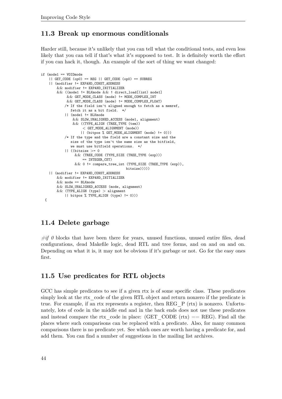### **11.3 Break up enormous conditionals**

Harder still, because it's unlikely that you can tell what the conditional tests, and even less likely that you can tell if that's what it's supposed to test. It is definitely worth the effort if you can hack it, though. An example of the sort of thing we want changed:

```
if (mode1 == VOIDmode
    || GET_CODE (op0) == REG || GET_CODE (op0) == SUBREG
    || (modifier != EXPAND_CONST_ADDRESS
        && modifier != EXPAND_INITIALIZER
        && ((mode1 != BLKmode && ! direct load[(int) mode1]
             && GET_MODE_CLASS (mode) != MODE_COMPLEX_INT
            && GET_MODE_CLASS (mode) != MODE_COMPLEX_FLOAT)
            /* If the field isn't aligned enough to fetch as a memref,
              fetch it as a bit field. */
            || (mode1 != BLKmode
                && SLOW_UNALIGNED_ACCESS (mode1, alignment)
                && ((TYPE_ALIGN (TREE_TYPE (tem))
                     < GET_MODE_ALIGNMENT (mode))
                    || (bitpos % GET_MODE_ALIGNMENT (mode) != 0)))
            /* If the type and the field are a constant size and the
               size of the type isn't the same size as the bitfield,
               we must use bitfield operations. */
            || ((bitsize >= 0
                 && (TREE_CODE (TYPE_SIZE (TREE_TYPE (exp)))
                      == INTEGER_CST)
                 && 0 != compare_tree_int (TYPE_SIZE (TREE_TYPE (exp)),
                                          bitsize)))))
    || (modifier != EXPAND_CONST_ADDRESS
        && modifier != EXPAND INITIALIZER
        &\& mode == BLKmode
        && SLOW_UNALIGNED_ACCESS (mode, alignment)
        && (TYPE_ALIGN (type) > alignment
           || bitpos % TYPE_ALIGN (type) != 0)))
  {
```
## **11.4 Delete garbage**

*#if 0* blocks that have been there for years, unused functions, unused entire files, dead configurations, dead Makefile logic, dead RTL and tree forms, and on and on and on. Depending on what it is, it may not be obvious if it's garbage or not. Go for the easy ones first.

### **11.5 Use predicates for RTL objects**

GCC has simple predicates to see if a given rtx is of some specific class. These predicates simply look at the rtx code of the given RTL object and return nonzero if the predicate is true. For example, if an rtx represents a register, then REG\_P (rtx) is nonzero. Unfortunately, lots of code in the middle end and in the back ends does not use these predicates and instead compare the rtx code in place:  $(GET\_CODE (rtx) == REG)$ . Find all the places where such comparisons can be replaced with a predicate. Also, for many common comparisons there is no predicate yet. See which ones are worth having a predicate for, and add them. You can find a number of suggestions in the mailing list archives.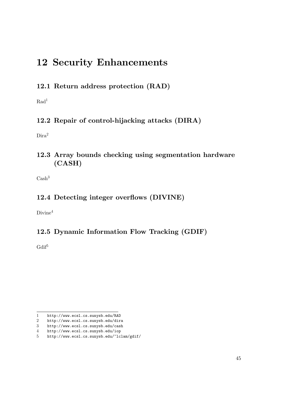# **12 Security Enhancements**

**12.1 Return address protection (RAD)**

 $Rad<sup>1</sup>$  $Rad<sup>1</sup>$  $Rad<sup>1</sup>$ 

## **12.2 Repair of control-hijacking attacks (DIRA)**

Dira<sup>[2](#page-47-1)</sup>

## **12.3 Array bounds checking using segmentation hardware (CASH)**

 $Cash<sup>3</sup>$  $Cash<sup>3</sup>$  $Cash<sup>3</sup>$ 

## **12.4 Detecting integer overflows (DIVINE)**

Divine<sup>[4](#page-47-3)</sup>

## **12.5 Dynamic Information Flow Tracking (GDIF)**

Gdif<sup>[5](#page-47-4)</sup>

<span id="page-47-0"></span><sup>1</sup> <http://www.ecsl.cs.sunysb.edu/RAD>

<span id="page-47-1"></span><sup>2</sup> <http://www.ecsl.cs.sunysb.edu/dira>

<span id="page-47-2"></span><sup>3</sup> <http://www.ecsl.cs.sunysb.edu/cash>

<span id="page-47-3"></span><sup>4</sup> <http://www.ecsl.cs.sunysb.edu/iop>

<span id="page-47-4"></span><sup>5</sup> <http://www.ecsl.cs.sunysb.edu/~lclam/gdif/>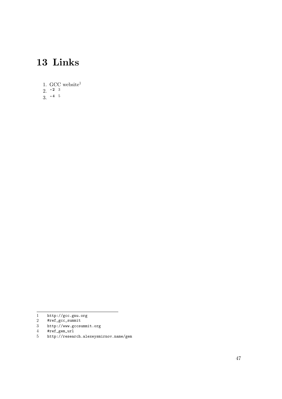# **13 Links**

- [1](#page-49-0). GCC website $1$
- [2](#page-49-1).  $\lambda^2$  <sup>[3](#page-49-2)</sup>
- 3.  $\lambda$ <sup>[4](#page-49-3)</sup> [5](#page-49-4)

- <span id="page-49-1"></span>[#ref\\_gcc\\_summit](#ref_gcc_summit)
- <span id="page-49-3"></span><span id="page-49-2"></span>3 <http://www.gccsummit.org>
- 4 [#ref\\_gem\\_url](#ref_gem_url)<br>5 http://reseal

<span id="page-49-0"></span><sup>1</sup> <http://gcc.gnu.org><br>2 #ref\_gcc\_summit<br>3 http://www.gccsummi

<span id="page-49-4"></span><sup>5</sup> <http://research.alexeysmirnov.name/gem>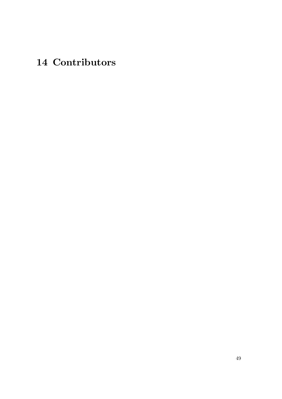# **14 Contributors**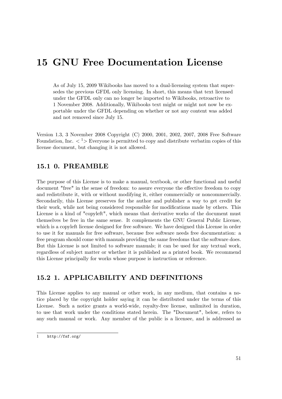# **15 GNU Free Documentation License**

As of July 15, 2009 Wikibooks has moved to a dual-licensing system that supersedes the previous GFDL only licensing. In short, this means that text licensed under the GFDL only can no longer be imported to Wikibooks, retroactive to 1 November 2008. Additionally, Wikibooks text might or might not now be exportable under the GFDL depending on whether or not any content was added and not removed since July 15.

Version 1.3, 3 November 2008 Copyright (C) 2000, 2001, 2002, 2007, 2008 Free Software Foundation, Inc.  $\langle \n\begin{array}{c} 1 \\ \n\end{array} \rangle$  $\langle \n\begin{array}{c} 1 \\ \n\end{array} \rangle$  $\langle \n\begin{array}{c} 1 \\ \n\end{array} \rangle$  Everyone is permitted to copy and distribute verbatim copies of this license document, but changing it is not allowed.

### **15.1 0. PREAMBLE**

The purpose of this License is to make a manual, textbook, or other functional and useful document "free" in the sense of freedom: to assure everyone the effective freedom to copy and redistribute it, with or without modifying it, either commercially or noncommercially. Secondarily, this License preserves for the author and publisher a way to get credit for their work, while not being considered responsible for modifications made by others. This License is a kind of "copyleft", which means that derivative works of the document must themselves be free in the same sense. It complements the GNU General Public License, which is a copyleft license designed for free software. We have designed this License in order to use it for manuals for free software, because free software needs free documentation: a free program should come with manuals providing the same freedoms that the software does. But this License is not limited to software manuals; it can be used for any textual work, regardless of subject matter or whether it is published as a printed book. We recommend this License principally for works whose purpose is instruction or reference.

## **15.2 1. APPLICABILITY AND DEFINITIONS**

This License applies to any manual or other work, in any medium, that contains a notice placed by the copyright holder saying it can be distributed under the terms of this License. Such a notice grants a world-wide, royalty-free license, unlimited in duration, to use that work under the conditions stated herein. The "Document", below, refers to any such manual or work. Any member of the public is a licensee, and is addressed as

<span id="page-53-0"></span><sup>1</sup> <http://fsf.org/>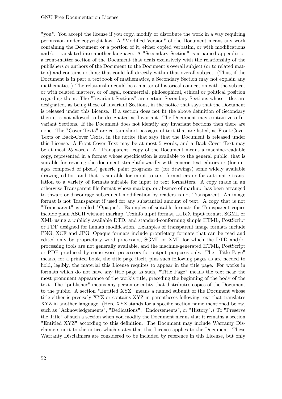"you". You accept the license if you copy, modify or distribute the work in a way requiring permission under copyright law. A "Modified Version" of the Document means any work containing the Document or a portion of it, either copied verbatim, or with modifications and/or translated into another language. A "Secondary Section" is a named appendix or a front-matter section of the Document that deals exclusively with the relationship of the publishers or authors of the Document to the Document's overall subject (or to related matters) and contains nothing that could fall directly within that overall subject. (Thus, if the Document is in part a textbook of mathematics, a Secondary Section may not explain any mathematics.) The relationship could be a matter of historical connection with the subject or with related matters, or of legal, commercial, philosophical, ethical or political position regarding them. The "Invariant Sections" are certain Secondary Sections whose titles are designated, as being those of Invariant Sections, in the notice that says that the Document is released under this License. If a section does not fit the above definition of Secondary then it is not allowed to be designated as Invariant. The Document may contain zero Invariant Sections. If the Document does not identify any Invariant Sections then there are none. The "Cover Texts" are certain short passages of text that are listed, as Front-Cover Texts or Back-Cover Texts, in the notice that says that the Document is released under this License. A Front-Cover Text may be at most 5 words, and a Back-Cover Text may be at most 25 words. A "Transparent" copy of the Document means a machine-readable copy, represented in a format whose specification is available to the general public, that is suitable for revising the document straightforwardly with generic text editors or (for images composed of pixels) generic paint programs or (for drawings) some widely available drawing editor, and that is suitable for input to text formatters or for automatic translation to a variety of formats suitable for input to text formatters. A copy made in an otherwise Transparent file format whose markup, or absence of markup, has been arranged to thwart or discourage subsequent modification by readers is not Transparent. An image format is not Transparent if used for any substantial amount of text. A copy that is not "Transparent" is called "Opaque". Examples of suitable formats for Transparent copies include plain ASCII without markup, Texinfo input format, LaTeX input format, SGML or XML using a publicly available DTD, and standard-conforming simple HTML, PostScript or PDF designed for human modification. Examples of transparent image formats include PNG, XCF and JPG. Opaque formats include proprietary formats that can be read and edited only by proprietary word processors, SGML or XML for which the DTD and/or processing tools are not generally available, and the machine-generated HTML, PostScript or PDF produced by some word processors for output purposes only. The "Title Page" means, for a printed book, the title page itself, plus such following pages as are needed to hold, legibly, the material this License requires to appear in the title page. For works in formats which do not have any title page as such, "Title Page" means the text near the most prominent appearance of the work's title, preceding the beginning of the body of the text. The "publisher" means any person or entity that distributes copies of the Document to the public. A section "Entitled XYZ" means a named subunit of the Document whose title either is precisely XYZ or contains XYZ in parentheses following text that translates XYZ in another language. (Here XYZ stands for a specific section name mentioned below, such as "Acknowledgements", "Dedications", "Endorsements", or "History".) To "Preserve the Title" of such a section when you modify the Document means that it remains a section "Entitled XYZ" according to this definition. The Document may include Warranty Disclaimers next to the notice which states that this License applies to the Document. These Warranty Disclaimers are considered to be included by reference in this License, but only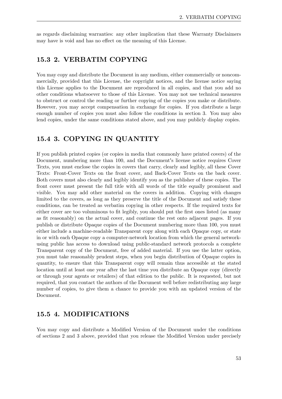as regards disclaiming warranties: any other implication that these Warranty Disclaimers may have is void and has no effect on the meaning of this License.

### **15.3 2. VERBATIM COPYING**

You may copy and distribute the Document in any medium, either commercially or noncommercially, provided that this License, the copyright notices, and the license notice saying this License applies to the Document are reproduced in all copies, and that you add no other conditions whatsoever to those of this License. You may not use technical measures to obstruct or control the reading or further copying of the copies you make or distribute. However, you may accept compensation in exchange for copies. If you distribute a large enough number of copies you must also follow the conditions in section 3. You may also lend copies, under the same conditions stated above, and you may publicly display copies.

### **15.4 3. COPYING IN QUANTITY**

If you publish printed copies (or copies in media that commonly have printed covers) of the Document, numbering more than 100, and the Document's license notice requires Cover Texts, you must enclose the copies in covers that carry, clearly and legibly, all these Cover Texts: Front-Cover Texts on the front cover, and Back-Cover Texts on the back cover. Both covers must also clearly and legibly identify you as the publisher of these copies. The front cover must present the full title with all words of the title equally prominent and visible. You may add other material on the covers in addition. Copying with changes limited to the covers, as long as they preserve the title of the Document and satisfy these conditions, can be treated as verbatim copying in other respects. If the required texts for either cover are too voluminous to fit legibly, you should put the first ones listed (as many as fit reasonably) on the actual cover, and continue the rest onto adjacent pages. If you publish or distribute Opaque copies of the Document numbering more than 100, you must either include a machine-readable Transparent copy along with each Opaque copy, or state in or with each Opaque copy a computer-network location from which the general networkusing public has access to download using public-standard network protocols a complete Transparent copy of the Document, free of added material. If you use the latter option, you must take reasonably prudent steps, when you begin distribution of Opaque copies in quantity, to ensure that this Transparent copy will remain thus accessible at the stated location until at least one year after the last time you distribute an Opaque copy (directly or through your agents or retailers) of that edition to the public. It is requested, but not required, that you contact the authors of the Document well before redistributing any large number of copies, to give them a chance to provide you with an updated version of the Document.

### **15.5 4. MODIFICATIONS**

You may copy and distribute a Modified Version of the Document under the conditions of sections 2 and 3 above, provided that you release the Modified Version under precisely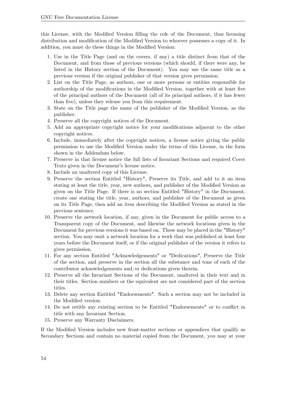this License, with the Modified Version filling the role of the Document, thus licensing distribution and modification of the Modified Version to whoever possesses a copy of it. In addition, you must do these things in the Modified Version:

- 1. Use in the Title Page (and on the covers, if any) a title distinct from that of the Document, and from those of previous versions (which should, if there were any, be listed in the History section of the Document). You may use the same title as a previous version if the original publisher of that version gives permission.
- 2. List on the Title Page, as authors, one or more persons or entities responsible for authorship of the modifications in the Modified Version, together with at least five of the principal authors of the Document (all of its principal authors, if it has fewer than five), unless they release you from this requirement.
- 3. State on the Title page the name of the publisher of the Modified Version, as the publisher.
- 4. Preserve all the copyright notices of the Document.
- 5. Add an appropriate copyright notice for your modifications adjacent to the other copyright notices.
- 6. Include, immediately after the copyright notices, a license notice giving the public permission to use the Modified Version under the terms of this License, in the form shown in the Addendum below.
- 7. Preserve in that license notice the full lists of Invariant Sections and required Cover Texts given in the Document's license notice.
- 8. Include an unaltered copy of this License.
- 9. Preserve the section Entitled "History", Preserve its Title, and add to it an item stating at least the title, year, new authors, and publisher of the Modified Version as given on the Title Page. If there is no section Entitled "History" in the Document, create one stating the title, year, authors, and publisher of the Document as given on its Title Page, then add an item describing the Modified Version as stated in the previous sentence.
- 10. Preserve the network location, if any, given in the Document for public access to a Transparent copy of the Document, and likewise the network locations given in the Document for previous versions it was based on. These may be placed in the "History" section. You may omit a network location for a work that was published at least four years before the Document itself, or if the original publisher of the version it refers to gives permission.
- 11. For any section Entitled "Acknowledgements" or "Dedications", Preserve the Title of the section, and preserve in the section all the substance and tone of each of the contributor acknowledgements and/or dedications given therein.
- 12. Preserve all the Invariant Sections of the Document, unaltered in their text and in their titles. Section numbers or the equivalent are not considered part of the section titles.
- 13. Delete any section Entitled "Endorsements". Such a section may not be included in the Modified version.
- 14. Do not retitle any existing section to be Entitled "Endorsements" or to conflict in title with any Invariant Section.
- 15. Preserve any Warranty Disclaimers.

If the Modified Version includes new front-matter sections or appendices that qualify as Secondary Sections and contain no material copied from the Document, you may at your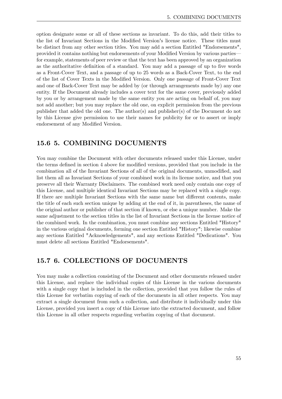option designate some or all of these sections as invariant. To do this, add their titles to the list of Invariant Sections in the Modified Version's license notice. These titles must be distinct from any other section titles. You may add a section Entitled "Endorsements", provided it contains nothing but endorsements of your Modified Version by various parties for example, statements of peer review or that the text has been approved by an organization as the authoritative definition of a standard. You may add a passage of up to five words as a Front-Cover Text, and a passage of up to 25 words as a Back-Cover Text, to the end of the list of Cover Texts in the Modified Version. Only one passage of Front-Cover Text and one of Back-Cover Text may be added by (or through arrangements made by) any one entity. If the Document already includes a cover text for the same cover, previously added by you or by arrangement made by the same entity you are acting on behalf of, you may not add another; but you may replace the old one, on explicit permission from the previous publisher that added the old one. The author(s) and publisher(s) of the Document do not by this License give permission to use their names for publicity for or to assert or imply endorsement of any Modified Version.

### **15.6 5. COMBINING DOCUMENTS**

You may combine the Document with other documents released under this License, under the terms defined in section 4 above for modified versions, provided that you include in the combination all of the Invariant Sections of all of the original documents, unmodified, and list them all as Invariant Sections of your combined work in its license notice, and that you preserve all their Warranty Disclaimers. The combined work need only contain one copy of this License, and multiple identical Invariant Sections may be replaced with a single copy. If there are multiple Invariant Sections with the same name but different contents, make the title of each such section unique by adding at the end of it, in parentheses, the name of the original author or publisher of that section if known, or else a unique number. Make the same adjustment to the section titles in the list of Invariant Sections in the license notice of the combined work. In the combination, you must combine any sections Entitled "History" in the various original documents, forming one section Entitled "History"; likewise combine any sections Entitled "Acknowledgements", and any sections Entitled "Dedications". You must delete all sections Entitled "Endorsements".

### **15.7 6. COLLECTIONS OF DOCUMENTS**

You may make a collection consisting of the Document and other documents released under this License, and replace the individual copies of this License in the various documents with a single copy that is included in the collection, provided that you follow the rules of this License for verbatim copying of each of the documents in all other respects. You may extract a single document from such a collection, and distribute it individually under this License, provided you insert a copy of this License into the extracted document, and follow this License in all other respects regarding verbatim copying of that document.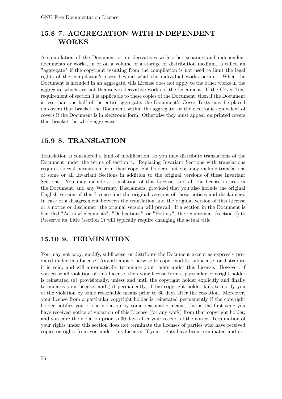## **15.8 7. AGGREGATION WITH INDEPENDENT WORKS**

A compilation of the Document or its derivatives with other separate and independent documents or works, in or on a volume of a storage or distribution medium, is called an "aggregate" if the copyright resulting from the compilation is not used to limit the legal rights of the compilation's users beyond what the individual works permit. When the Document is included in an aggregate, this License does not apply to the other works in the aggregate which are not themselves derivative works of the Document. If the Cover Text requirement of section 3 is applicable to these copies of the Document, then if the Document is less than one half of the entire aggregate, the Document's Cover Texts may be placed on covers that bracket the Document within the aggregate, or the electronic equivalent of covers if the Document is in electronic form. Otherwise they must appear on printed covers that bracket the whole aggregate.

### **15.9 8. TRANSLATION**

Translation is considered a kind of modification, so you may distribute translations of the Document under the terms of section 4. Replacing Invariant Sections with translations requires special permission from their copyright holders, but you may include translations of some or all Invariant Sections in addition to the original versions of these Invariant Sections. You may include a translation of this License, and all the license notices in the Document, and any Warranty Disclaimers, provided that you also include the original English version of this License and the original versions of those notices and disclaimers. In case of a disagreement between the translation and the original version of this License or a notice or disclaimer, the original version will prevail. If a section in the Document is Entitled "Acknowledgements", "Dedications", or "History", the requirement (section 4) to Preserve its Title (section 1) will typically require changing the actual title.

### **15.10 9. TERMINATION**

You may not copy, modify, sublicense, or distribute the Document except as expressly provided under this License. Any attempt otherwise to copy, modify, sublicense, or distribute it is void, and will automatically terminate your rights under this License. However, if you cease all violation of this License, then your license from a particular copyright holder is reinstated (a) provisionally, unless and until the copyright holder explicitly and finally terminates your license, and (b) permanently, if the copyright holder fails to notify you of the violation by some reasonable means prior to 60 days after the cessation. Moreover, your license from a particular copyright holder is reinstated permanently if the copyright holder notifies you of the violation by some reasonable means, this is the first time you have received notice of violation of this License (for any work) from that copyright holder, and you cure the violation prior to 30 days after your receipt of the notice. Termination of your rights under this section does not terminate the licenses of parties who have received copies or rights from you under this License. If your rights have been terminated and not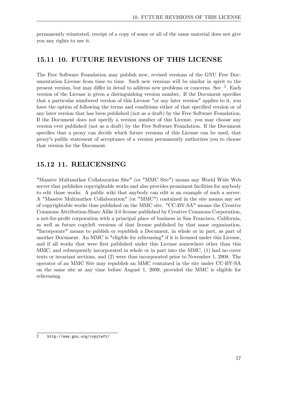permanently reinstated, receipt of a copy of some or all of the same material does not give you any rights to use it.

### **15.11 10. FUTURE REVISIONS OF THIS LICENSE**

The Free Software Foundation may publish new, revised versions of the GNU Free Documentation License from time to time. Such new versions will be similar in spirit to the present version, but may differ in detail to address new problems or concerns. See <sup>[2](#page-59-0)</sup>. Each version of the License is given a distinguishing version number. If the Document specifies that a particular numbered version of this License "or any later version" applies to it, you have the option of following the terms and conditions either of that specified version or of any later version that has been published (not as a draft) by the Free Software Foundation. If the Document does not specify a version number of this License, you may choose any version ever published (not as a draft) by the Free Software Foundation. If the Document specifies that a proxy can decide which future versions of this License can be used, that proxy's public statement of acceptance of a version permanently authorizes you to choose that version for the Document.

### **15.12 11. RELICENSING**

"Massive Multiauthor Collaboration Site" (or "MMC Site") means any World Wide Web server that publishes copyrightable works and also provides prominent facilities for anybody to edit those works. A public wiki that anybody can edit is an example of such a server. A "Massive Multiauthor Collaboration" (or "MMC") contained in the site means any set of copyrightable works thus published on the MMC site. "CC-BY-SA" means the Creative Commons Attribution-Share Alike 3.0 license published by Creative Commons Corporation, a not-for-profit corporation with a principal place of business in San Francisco, California, as well as future copyleft versions of that license published by that same organization. "Incorporate" means to publish or republish a Document, in whole or in part, as part of another Document. An MMC is "eligible for relicensing" if it is licensed under this License, and if all works that were first published under this License somewhere other than this MMC, and subsequently incorporated in whole or in part into the MMC, (1) had no cover texts or invariant sections, and (2) were thus incorporated prior to November 1, 2008. The operator of an MMC Site may republish an MMC contained in the site under CC-BY-SA on the same site at any time before August 1, 2009, provided the MMC is eligible for relicensing.

<span id="page-59-0"></span><sup>2</sup> <http://www.gnu.org/copyleft/>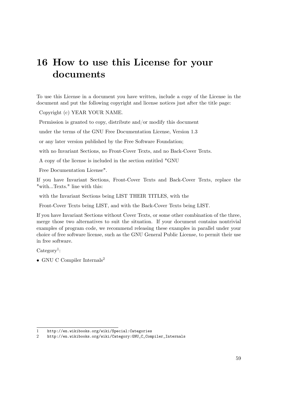# **16 How to use this License for your documents**

To use this License in a document you have written, include a copy of the License in the document and put the following copyright and license notices just after the title page:

Copyright (c) YEAR YOUR NAME.

Permission is granted to copy, distribute and/or modify this document

under the terms of the GNU Free Documentation License, Version 1.3

or any later version published by the Free Software Foundation;

with no Invariant Sections, no Front-Cover Texts, and no Back-Cover Texts.

A copy of the license is included in the section entitled "GNU

Free Documentation License".

If you have Invariant Sections, Front-Cover Texts and Back-Cover Texts, replace the "with...Texts." line with this:

with the Invariant Sections being LIST THEIR TITLES, with the

Front-Cover Texts being LIST, and with the Back-Cover Texts being LIST.

If you have Invariant Sections without Cover Texts, or some other combination of the three, merge those two alternatives to suit the situation. If your document contains nontrivial examples of program code, we recommend releasing these examples in parallel under your choice of free software license, such as the GNU General Public License, to permit their use in free software.

 $\text{Category}^1$  $\text{Category}^1$ :

• GNU C Compiler Internals<sup>[2](#page-61-1)</sup>

<span id="page-61-0"></span><sup>1</sup> <http://en.wikibooks.org/wiki/Special:Categories>

<span id="page-61-1"></span><sup>2</sup> [http://en.wikibooks.org/wiki/Category:GNU\\_C\\_Compiler\\_Internals](http://en.wikibooks.org/wiki/Category:GNU_C_Compiler_Internals)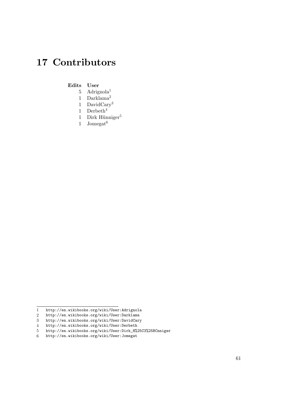# **17 Contributors**

#### **Edits User**

- 5 Adrignola1
- 1 Darklama2
- 1 DavidCary3
- 1 Derbeth $4$
- 1 Dirk Hünniger<sup>5</sup>
- 1 Jomega $t^6$

<sup>1</sup> <http://en.wikibooks.org/wiki/User:Adrignola>

<sup>2</sup> <http://en.wikibooks.org/wiki/User:Darklama>

<sup>3</sup> <http://en.wikibooks.org/wiki/User:DavidCary>

<sup>4</sup> <http://en.wikibooks.org/wiki/User:Derbeth>

<sup>5</sup> [http://en.wikibooks.org/wiki/User:Dirk\\_H%25C3%25BCnniger](http://en.wikibooks.org/wiki/User:Dirk_H%25C3%25BCnniger)

<sup>6</sup> <http://en.wikibooks.org/wiki/User:Jomegat>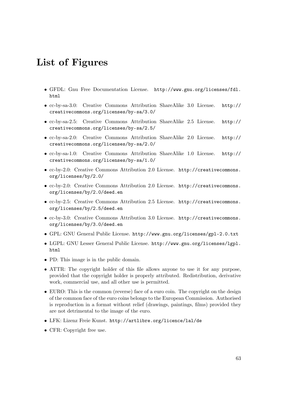# **List of Figures**

- GFDL: Gnu Free Documentation License. [http://www.gnu.org/licenses/fdl.](http://www.gnu.org/licenses/fdl.html) [html](http://www.gnu.org/licenses/fdl.html)
- cc-by-sa-3.0: Creative Commons Attribution ShareAlike 3.0 License. [http://](http://creativecommons.org/licenses/by-sa/3.0/) [creativecommons.org/licenses/by-sa/3.0/](http://creativecommons.org/licenses/by-sa/3.0/)
- cc-by-sa-2.5: Creative Commons Attribution ShareAlike 2.5 License. [http://](http://creativecommons.org/licenses/by-sa/2.5/) [creativecommons.org/licenses/by-sa/2.5/](http://creativecommons.org/licenses/by-sa/2.5/)
- cc-by-sa-2.0: Creative Commons Attribution ShareAlike 2.0 License. [http://](http://creativecommons.org/licenses/by-sa/2.0/) [creativecommons.org/licenses/by-sa/2.0/](http://creativecommons.org/licenses/by-sa/2.0/)
- cc-by-sa-1.0: Creative Commons Attribution ShareAlike 1.0 License. [http://](http://creativecommons.org/licenses/by-sa/1.0/) [creativecommons.org/licenses/by-sa/1.0/](http://creativecommons.org/licenses/by-sa/1.0/)
- cc-by-2.0: Creative Commons Attribution 2.0 License. [http://creativecommons.](http://creativecommons.org/licenses/by/2.0/) [org/licenses/by/2.0/](http://creativecommons.org/licenses/by/2.0/)
- cc-by-2.0: Creative Commons Attribution 2.0 License. [http://creativecommons.](http://creativecommons.org/licenses/by/2.0/deed.en) [org/licenses/by/2.0/deed.en](http://creativecommons.org/licenses/by/2.0/deed.en)
- cc-by-2.5: Creative Commons Attribution 2.5 License. [http://creativecommons.](http://creativecommons.org/licenses/by/2.5/deed.en) [org/licenses/by/2.5/deed.en](http://creativecommons.org/licenses/by/2.5/deed.en)
- cc-by-3.0: Creative Commons Attribution 3.0 License. [http://creativecommons.](http://creativecommons.org/licenses/by/3.0/deed.en) [org/licenses/by/3.0/deed.en](http://creativecommons.org/licenses/by/3.0/deed.en)
- GPL: GNU General Public License. <http://www.gnu.org/licenses/gpl-2.0.txt>
- LGPL: GNU Lesser General Public License. [http://www.gnu.org/licenses/lgpl.](http://www.gnu.org/licenses/lgpl.html) [html](http://www.gnu.org/licenses/lgpl.html)
- PD: This image is in the public domain.
- ATTR: The copyright holder of this file allows anyone to use it for any purpose, provided that the copyright holder is properly attributed. Redistribution, derivative work, commercial use, and all other use is permitted.
- EURO: This is the common (reverse) face of a euro coin. The copyright on the design of the common face of the euro coins belongs to the European Commission. Authorised is reproduction in a format without relief (drawings, paintings, films) provided they are not detrimental to the image of the euro.
- LFK: Lizenz Freie Kunst. <http://artlibre.org/licence/lal/de>
- CFR: Copyright free use.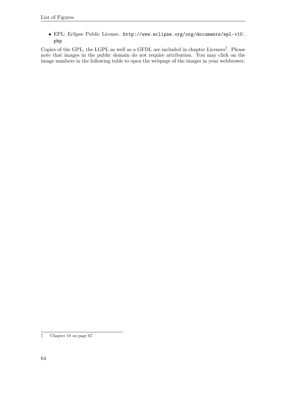• EPL: Eclipse Public License. [http://www.eclipse.org/org/documents/epl-v10.](http://www.eclipse.org/org/documents/epl-v10.php) [php](http://www.eclipse.org/org/documents/epl-v10.php)

Copies of the GPL, the LGPL as well as a GFDL are included in chapter Licenses<sup>[7](#page-66-0)</sup>. Please note that images in the public domain do not require attribution. You may click on the image numbers in the following table to open the webpage of the images in your webbrower.

<span id="page-66-0"></span><sup>7</sup> Chapter [18](#page-69-0) on page [67](#page-69-0)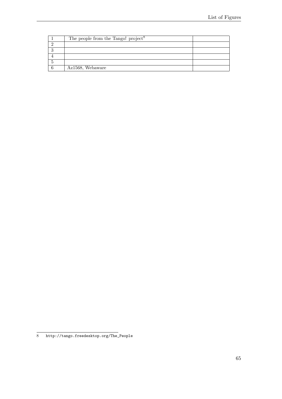| The people from the Tango! project <sup>8</sup> |  |
|-------------------------------------------------|--|
|                                                 |  |
|                                                 |  |
|                                                 |  |
|                                                 |  |
| Az1568, Webaware                                |  |

[http://tango.freedesktop.org/The\\_People](http://tango.freedesktop.org/The_People)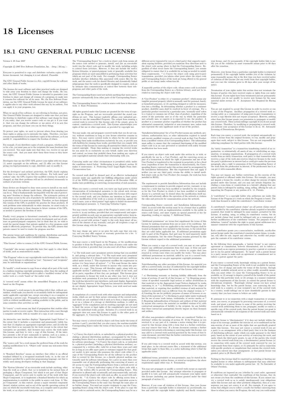## <span id="page-69-0"></span>**18 Licenses**

### **18.1 GNU GENERAL PUBLIC LICENSE**

Version 3, 29 June 2007

Copyright  $\odot$  2007 Free Software Foundation, Inc. <http://fsf.org/>

Everyone is permitted to copy and distribute verbatim copies of this license document, but changing it is not allowed. Preamble

The GNU General Public License is a free, copyleft license for software and other kinds of works.

The licenses for most software and other practical works are designed<br>to take away your freedom to share and change the works. By contrast, the GNU General Public License is intended to guarantee your<br>freedom to share and can apply it to your programs, too.

When we speak of free software, we are referring to freedom, not price.<br>Our General Public Licenses are designed to make sure that you have<br>the freedom to distribute copies of free software (and charge for them<br>if you wis

To protect your rights, we need to prevent others from denying you<br>these rights or asking you to surrender the rights. Therefore, you have<br>certain responsibilities if you distribute copies of the software, or if you<br>modif

For example, if you distribute copies of such a program, whether gratistic and ror for a fee, you must pass on to the recipients the same freedoms that you received. You must make sure that they, too, receive or can get t their rights.

Developers that use the GNU GPL protect your rights with two steps: (1) assert copyright on the software, and (2) offer you this License giving you legal permission to copy, distribute and/or modify it.

For the developers' and authors' protection, the GPL clearly explains<br>that there is no warranty for this free software. For both users' and<br>authors' sake, the GPL requires that modified versions be marked as<br>changed, so t

Some devies are designed to deny users access to install or run modeling defined to effore devies and oso. This is fundamentally incompatible with the aim of protect-<br>can do so. This is fundamentally incompatible with the

Finally, every program is threatened constantly by software patents.<br>States should not allow patents to restrict development and use of soft-<br>avave on general-purpose computers, but in those that do, we wish to<br>avoid the

The precise terms and conditions for copying, distribution and modi-fication follow. TERMS AND CONDITIONS 0. Definitions.

"This License" refers to version 3 of the GNU General Public License.

"Copyright" also means copyright-like laws that apply to other kinds of works, such as semiconductor masks.

"The Program" refers to any copyrightable work licensed under this Li-cense. Each licensee is addressed as "you". "Licensees" and "recipients" may be individuals or organizations.

.<br>To "modify" a work means to copy from or adapt all or part of the work<br>ashion requiring convright permission, other than the making of in a fashion requiring converight permission, other than the making of matter an exact copy. The resulting work is called a "modified version" of the earlier work or a work "based on" the earlier work.

A "covered work" means either the unmodified Program or a work based on the Program.

To "propagate" a work means to do anything with it that, without performing<br>mission, would make you directly or secondarily liable for infringement<br>under applicable copyright law, except executing it on a computer or<br>modi

To "convey" a work means any kind of propagation that enables other parties to make or receive copies. Mere interaction with a user through a computer network, with no transfer of a copy, is not conveying.

An interactive user interface displays "Appropriate Legal Noticss" to<br>the extent that it includes a convenient and prominently visible feature<br>that (1) displays an appropriate copyright notice, and (2) tells the<br>user that

The "source code" for a work means the preferred form of the work for making modifications to it. "Object code" means any non-source form of a work.

rd Interface" means an interface that either is an official standard defined by a recognized standards body, or, in the case of interfaces specified for a particular programming language, one that is widely used among developers working in that language.

The "System Libraries" of an executable work include anything, other than the work as a whole, that (a) is included in the normal form of packaging a Major Component, but which is not part of that Major Component, and (b)

The "Corresponding Source" for a work in object code form means all<br>the source code needed to generate, install, and (for an executable<br>work) run the object code and to modify the work, including scripts<br>to control those System Libraries, or general-purpose tools or generally available free programs which are used unmodified in performing those activities but which are not part of the work. For example, Corresponding Source includes interface definition files associated with source files for the<br>work, and the source code for shared libraries and dynamically linked<br>subprograms that the work is specifically designed to require, such as<br>by inti

The Corresponding Source need not include anything that users can re-generate automatically from other parts of the Corresponding Source.

The Corresponding Source for a work in source code form is that same work. 2. Basic Permissions.

All rights granted under this License are granted for the term of copy<br>right on the Program, and are irrevocable provided the stated conductions are met. This License explicitly affirms your unimited persion<br>insison to ru rights of fair use or other equivalent, as provided by copyright law

You may make, run and propagate covered works that you can one con-<br>vey, without conditions so long as your license otherwise remains in<br>force. You may convey covered works to others for the sole purpose<br>force. You may co

Conveying under any other circumstances is permitted solely under the conditions stated below. Sublicensing is not allowed; section 10 makes it unnecessary. 3. Protecting Users' Legal Rights From Anti-Circumvention Law.

No covered work shall be deemed part of an effective technological<br>measure under any applicable law fulfilling obligations under article<br>11 of the WIPO copyright treaty alopted on 20 December 1996, or<br>31 infar laws prohibi

When you convey a covered work, you waive any legal power to forbid<br>circumvention of technological measures to the extent such circumcircumvention of technological measures to the extent such circum-<br>vention is effected by exercising rights under this License with respect<br>to the covered work, and you disclaim any intention to limit to<br>perturb to the co

You may convey verbatim copies of the Program's source code as receive it, in any medium, provided that you conspicuously and appro-priately publish on each copy an appropriate copyright notice; keep in-tact all notices stating that this License and any non-permissive terms added in accord with section 7 apply to the code; keep intact all no-tices of the absence of any warranty; and give all recipients a copy of this License along with the Program.

You may charge any price or no price for each copy that you of warranty protection for a fee. 5. and you may offer support or veying Modified Source Version.

You may convey a work based on the Program, or the modifications to produce it from the Program, in the form of source code under the terms of section 4, provided that you also meet all of these conditions:

\* a) The work must carry prominent notices stating that you modified<br>it, and giving a relevant atac. \* b) The work must carry prominent<br>notices stating that it is released under this License and any conditions<br>added under all its parts, regardless of how they are packaged. This license gives<br>no permission to license the work in any other way, but it does not<br>invalidate such permission if you have separately received it.  $*$  d) I<br>the work h

A compilation of a covered work with other separate and independent works, which are not by their nature extensions of the covered work, and which are not combined with it such as to form a larger program, in or on a volume of a storage or distribution medium, is called an<br>"aggregate" if the compilation and its resulting copyright are not used<br>what the intectess or legal rights of the compilation's users beyond<br>what the ind

You may convey a covered work in object code form under the terms of sections 4 and 5, provided that you also convey the machine-readable Corresponding Source under the terms of this License, in one of these ways:

 $^*$ a) Convey the object code in, or embodiel in, a physical product (in a physical distribution medium), accompanied by the Corre-for-sponding Source fixed on a durable physical medium customarily used<br>for software inter reasonable cost of physically performing this conveying of source, or<br>
(2) access to copy the Corresponding Source from a network server at<br>
no charge. \* c) Convey individual copies of the object code with a copy of the written offer to provide the Corresponding Source. This<br>daternative is allowed only occasionally and noncommercially, and only<br>if you received the object code with such an offer, in accord with sub-<br>estima 6b. different server (operated by you or a third party) that supports equivalent copying facilities, provided you maintain clear directions next to the object code saying where to find the Corresponding Source. Regardless of w obligated to ensure that it is available for as long as needed to satisfy<br>chosen reduces requirements. \* e) Convey the object code using peer-to-peer<br>transmission, provided you inform other peers where the object code<br>and

A separable portion of the object code, whose source code is excluded from the Corresponding Source as a System Library, need not be in-cluded in conveying the object code work.

A "User Product" is either (1) a "consumer product", which means any<br>a transpile personal property which is normally used for personal, family<br>or household purposes, or (2) anything designed or sold for incorporation<br>into

"Installation Information" for a User Product means any methods, procedures, authorization keys, or other information required to instal<br>and execute modified versions of a covered work in that User Product<br>from a modified version of its Corresponding Source. The information<br>must suffice to odification has been made.

If you convey an object code work under this section in, or with, or<br>specifically for use in, a User Product, and the conveying occurs as<br>part of a transaction in which the right of possession and use of the<br>User Product installed in ROM).

The requirement to convide Installation Information does not include<br>a requirement to continue to provide support service, warranty, or up<br>dates for a work that has been modified or installed by the recipient<br>or for the U terially and adversely affects the operation of the network or violates the rules and protocols for communication across the network.

Corresponding Source conveyed, and Installation Information pro-<br>vided, in accord with this section must be in a format that is publicly<br>documented (and with an implementation available to the public is<br>ource code form), a

"Additional permissions" are terms that supplement the terms of this License by making exceptions from one or more of its conditions. Ad-ditional permissions that are applicable to the entire Program shall be treated as though they were included in this License, to the extent that they are valid under applicable law. If additional permissions apply to part of the Program, that part may be used separately under those permission

When you convey a copy of a covered work, you may at your option<br>remove any additional permissions from that copy, or from any part<br>remove any additional permissions may be written to require their own<br>removal in certain

Notwithstanding any other provision of this License, for material you add to a covered work, you may (if authorized by the copyright holders of that material) supplement the terms of this License with terms:

 $^*$ a) Dischaimig warrany or limiting liability differently from the terms of sections 15 and 16 of this License; or \*b) Requiring preservation of specified reasonable legal notices or author at<br>the most parameter than ma

All other non-permissive additional terms are considered "further re-strictions" within the meaning of section 10. If the Program as you received it, or any part of it, contains a notice stating that it is governed by this License along with a term that is a further restriction you may remove that term. If a license document contains a further restriction b

If you add terms to a covered work in accord with this section, you must place, in the relevant source files, a statement of the additional terms that apply to those files, or a notice indicating where to find the applicable terms

Additional terms, permissive or non-permissive, may be stated in the form of a separately written license, or stated as exceptions; the above requirements apply either way. 8. Termination.

You may not propagate or modify a covered work except as expre provided under this License. Any attempt otherwise to propagate or modify it is void, and will automatically terminate your rights under this License (including any patent licenses granted under the third paragraph of sec

However, if you cease all violation of this License, then your license from a particular convright holder is reinstated (a) provisionally  $\bar{v}$ from a particular copyright holder is reinstated (a) provisionally, un-less and until the copyright holder explicitly and finally terminates your license, and (b) permanently, if the copyright holder fails to no-tify you of the violation by some reasonable means prior to 60 days after the cessation.

Moreover, your license from a particular copyright holder is reinstated<br>permanently if the copyright holder notifies you of the violation by<br>ormer reasonable means, this is the first time you have received notice<br>of viola

Termination of your rights under this section does not terminate the<br>licenses of parties who have received copies or rights from you under<br>this License. If your rights have been terminated and not permanently<br>teinstated, **Copies** 

You are not required to accept this License in order to receive or run<br>a copy of the Program. Ancillary propagation of a covered work occurring solely as a consequence of using peer-to-peer transmission to<br>receive a copy

Each time you convey a covered work, the recipient automatically recives a license from the original licensors, to run, modify and prop ceives a license from the original licensors, to run, modify and prop-agate that work, subject to this License. You are not responsible for enforcing compliance by third parties with this License.

ntity transaction" is a transaction transferring ganization, or substantially all assets of one, or subdividing an organization, or merging organizations. If propagation of a covered work results from an entity transaction, each party to that transaction where recults f the party's predecessor in interest had or could give under the previous paragraph, plus a right to possession of the Corresponding Source of the work from the predecessor in interest, if the predecessor has it of can get

You may not impose any further restrictions on the exercise of the rights granted or affirmed under this License. For example, you may<br>not impose a license fee, royalty, or other charge for exercise of right<br>granted under this License, and you may not initiate litigation (in<br>cluding a cr

A "contributor" is a copyright holder who authorizes use under this License of the Program or a work on which the Program is based. The work thus licensed is called the contributor's "contributor version".

A contributor's "essential patent claims" are all patent claims owned<br>corortorieled by the contributor, whether already acquired or hereafter<br>acquired, that would be infringed by some manner, permitted by this<br>License, of

Each contributor grants you a non-exclusive, worldwide, royalty-free<br>patent license under the contributor's essential patent claims, to make<br>use, sell, offer for sale, import and otherwise run, modify and propagate the co

In the following three paragraphs, a "patent license" is any express agreement or commitment, however denominated, not to enforce a patent (such as an express permission to practice a patent or cover not to sue for patent infringement). To "grant" such a patent license to a party means to make such an agreement or commitment not to enforce a patent against the party.

If you convey a covered work, knowingly relying on a patent license and the Corresponding Source of the work is not available for anyone to copy, free of charge and under the terms of this License, through a publicly available network server or other readily accessible means<br>publicly available network server or other readily accessible or the<br>savailable, or (2) arrange to deprive yourself of the benefit of the patent<br>licens

If, pursuant to or in connection with a single transaction or ment, you convey, or propagate by procuring conveyance of, a covered<br>work, and grant a patent license to some of the parties receiving the<br>overed work authorizing them to use, propagate, modify or convey<br>specific copy of t automatically extended to all recipients of the covered work and works based on it.

A patent license is "discriminatory" if it does not include within the scope of its coverage, prohibits the exercise of, or is conditioned on the<br>non-exercise of one or more of the rights that are specifically granted non-exercise of one or more of the rights that are specifically granted<br>more under this License. You may not convey a covered work if you are<br>a party to an arrangement with a third party that is in the business<br>portstroki

Nothing in this License shall be construed as excluding or limiting any implied license or other defenses to infringement that may otherwise be available to you under applicable patent law. 12. No Surrender of Others' Fre

If conditions are imposed on you (whether by court order, agreement<br>or otherwise) that contariote the conditions of this License, they do<br>not excuse you from the conditions of this License. If you cannot con-<br>not excuse w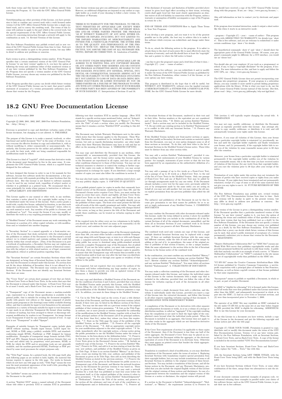both those terms and this License would be to refrain entirely from conveying the Program. 13. Use with the GNU Affero General Public License.

Notwithstanding any other provision of this License, you have permission to link or combine any covered work with a work licensed under version 3 of the GNU Affero General Public License into a single combined work, and t

The Free Software Foundation may publish revised and/or new versions of the GNU General Public License from time to time. Such new versions will be similar in spirit to the present version, but may differ in detail to address new problems or concerns.

Each version is given a distinguishing version number. If the Program<br>Each version is given a distinguishing version of the GNU General Pub-<br>[ic License "or any latter version" applies to it, you have the option of<br>follow

If the Program specifies that a proxy can decide which future versions<br>of the GNU General Public License can be used, that proxy's public<br>statement of acceptance of a version permanently authorizes you to<br>choose that vers

Later license versions may give you additional or different permissions.<br>However, no additional obligations are imposed on any author or copy-right holder as a result of your choosing to follow a later version. 15. Discla

THERE IS NO WARRANTY FOR THE PROGRAM, TO THE EX-<br>TENT PERMITTED BY APPLICABLE LAW. EXCEPT WHEN<br>OTHERWISE STATED IN WRITING THE COPYRIGHT HOLD-<br>ERS AND/OR OTHER PARTIES PROVIDE THE PROGRAM<br>PRESSED OR IMPLIED, INCLUDING, BUT FITNESS FOR A PARTICULAR PURPOSE. THE ENTIRE RISK FITNESS FOR A FARLICOLAR FORFOSE. THE ENTIRE RISP AS TO THE QUALITY AND PERFORMANCE OF THE PRO-GRAM IS WITH YOU. SHOULD THE PROGRAM PROVE DE-FECTIVE, YOU ASSUME THE COST OF ALL NECESSARY SER-VICING, REPAIR OR CORRECTION. 16. Limitation of Liability.

IN NO EVENT UNLESS REQUIRED BY APPLICABLE LAW OR AGREED TO IN WRITING WILL ANY COPYRIGHT HOLDER, OR ANY OTHER PARTY WHO MODIFIES AND/OR CONVEYS THE PROGRAM AS PERMITTED ABOVE, BE LIABLE TO YOU FOR DAMAGES, INCLUDING ANY GENERAL, SPECIAL, INCL FOR DAMAGES, INCLUDING ANY GENERAL, INCELAL, INC.<br>DENTAL OR CONSEQUENTIAL DAMAGES ARISING OUT OF THE USE OR INABILITY TO USE THE PROGRAM (INCLUDING<br>BUT NOT LIMITED TO LOSS OF DATA OR DATA BEING RENGEL<br>DERED INACCURATE OR L

If the dischainer of warranty and limitation of liability provided above<br>cannot be given local legal effect according to their terms, reviewing<br>counts shall apply local law that most closely approximates an above<br>lute wai

END OF TERMS AND CONDITIONS How to Apply These Terms to Your New Programs

If you develop a new program, and you want it to be of the greatest possible use to the public, the best way to achieve this is to make it free software which everyone can redistribute and change under these terms.

To do so, attach the following notices to the program. It is safest to<br>tatach them to the start of each source file to most effectively state the<br>exclusion of warranty; and each file should have at least the "copyright"<br>l

one line to give the program's name and a brief idea of what it does.  $Conv = 100$   $C = 100$   $C = 100$   $C = 100$   $C = 100$   $C = 100$   $C = 100$   $C = 100$   $C = 100$   $C = 100$   $C = 100$   $C = 100$ 

This program is free software: you can redistribute it and/or modify<br>it under the terms of the GNU General Public License as published by<br>the Free Software Foundation, either version 3 of the License, or (at<br>your option)

This program is distributed in the hope that it will be useful, but<br>WITHOUT ANY WARRANTY; without even the implied warranty<br>of MERCHANTABILITY or FITNESS FOR A PARTICULAR PUR-<br>POSE. See the GNU General Public License for m

You should have received a copy of the GNU General Public License<br>along with this program. If not, see <http://www.gnu.org/licenses/>

Also add information on how to contact you by electronic and paper mail.

If the program does terminal interaction, make it output a short notice like this when it starts in an interactive mode:

<program> Copyright (C) <year> <name of author> This program comes with ABSOLUTELY NO WARRANTY; for details type `show w'. This is free software, and you are welcome to redistribute it under certain conditions; type `show c' for details.

The hypothetical commands `show w' and `show c' should show the appropriate parts of the General Public License. Of course, your pro-<br>gram's commands might be different; for a GUI interface, you would use an "about box".

You should also get your employer (if you work as a programmer) or<br>school, if any, to sign a "copyright disclaimer" for the program, if necessary. For more information on this, and how to apply and follow the<br>GNU GPL, see

The GNU General Public License does not permit incorporating you<br>program into proprietary programs. If your program is a subroutine<br>library, you may consider it more useful to permit linking proprietary<br>applications with

### **18.2 GNU Free Documentation License**

#### Version 1.3, 3 November 2008

Copyright © 2000, 2001, 2002, 2007, 2008 Free Software Foundation, Inc. <http://fsf.org/>

Everyone is permitted to copy and distribute verbatim copies of this license document, but changing it is not allowed. 0. PREAMBLE

The purpose of this License is to make a manual, textbook, or other<br>functional and useful document "free" in the sense of freedom: to as<br>sure everyone the effective freedom to copy and redsitribute it, with or<br>without mod modifications made by others.<br>eations made by others.

This License is a kind of "copyleft", which means that derivative works<br>of the document must themselves be free in the same sense. It com-<br>plements the GNU General Public License, which is a copyleft license<br>designed for f

We have designed this License in order to use it for manuals for free<br>positive designed this License in order to use it for manuals for free<br>program should come with manuals providing the same freedoms that the<br>software d

This License applies to any manual or other work, in any medium,<br>that contains a notice placed by the copyright holder saying it can<br>be distributed under the terms of this License. Such a notice grants<br>world-wide, royaltyunder the conditions stated herein. The "Document", below, refers to<br>any such manual or work. Any member of the public is a licensee, and<br>is addressed as "you". You accept the license if you copy, modify or<br>distribute the

A "Modified Version" of the Document means any work containing the Document or a portion of it, either conjed verbatim, or with modified Document or a portion of it, either copied verbatim, or with modifica-tions and/or translated into another language.

ndary Section" is a named appendix or a front-matter tion of the Document that deals exclusively with the relationship of<br>the publishers or authors of the Document to the Document's overall<br>subject (or to related matters) and contains nothing that could fall<br>directly within mathematics.) The relationship could be a matter of historical connec-tion with the subject or with related matters, or of legal, commercial, philosophical, ethical or political position regarding them.

The "Irwariant Sections" are certain Secondary Sections whose titles<br>are designated, as being those of Invariant Sections, in the notice that<br>says that the Document is released under this License. If a section does<br>not fit

The "Cover Texts" are certain short passages of text that are listed,<br>as Front-Cover Texts or Back-Cover Texts, in the notice that says that<br>the Document is released under this License. A Front-Cover Text may<br>be at most 5

A "Transparent" copy of the Document means a machine-readable<br>copy, represented in a format whose specification is available to the<br>general public, that is suitable for revising the document straightfor-<br>wardly with generi generic paint programs or (for drawings) some widely available drawing editor, and that is suitable for input to text formatters or for automatic translation to a variety of formats suitable for input to text formatters, and  $\Delta$  copy made in an otherwise Transpacet to the format whose markup, as been compared to the sequent modification by readers is not Transpare

Examples of suitable formats for Transparent copies include plain<br>ASCII without markup, Texinfo input format, LaTeX input format, SGML or XML using a publicly available DTD, and standard<br>conforming simple HTML, PostScript

The "Title Page" means, for a printed book, the title page itself, plus<br>tuch following pages as are needed to hold, legibly, the material this<br>license requires to appear in the title page. For works in formats<br>which do no

The "publisher" means any person or entity that distributes copies of the Document to the public.

A section "Entitled XYZ" means a named subunit of the Doc whose title either is precisely XYZ or contains XYZ in parenthese following text that translates XYZ in another language. (Here XYZ)<br>stands for a specific section name mentioned below, such as "Acknowl-<br>edgements", "Dedications", "Endorsements", or "History".) To "Pre-<br>serve the Title" means that it remains a section "Entitled XYZ" according to this definition.

The Document may include Warranty Disclaimers next to the notice which states that this License applies to the Document. These War-ranty Disclaimers are considered to be included by reference in this License, but only as regards disclaiming warranties: any other impli-cation that these Warranty Disclaimers may have is void and has no effect on the meaning of this License. 2. VERBATIM COPYING

You may copy and distribute the Document in any medium, either commercially or noncommercially, provided that this License, the<br>copyright notices, and the license notice saying this License applies<br>to the Document are rep

You may also lend copies, under the same conditions stated above, and you may publicly display copies. 3. COPYING IN QUANTITY

If you publish printed copies (or copies in media that commonly have<br>printed covers) of the Document, numbering more than 100, and the<br>Document's liense notice requires Cover Texts, you must enclose the<br>copies in covers t the publisher of these copies. The front cover must present the full title withell words of the title equally prominent and visible. You may add<br>other material on the covers in addition. Copying with changes limited<br>to th

If the required texts for either cover are too voluminous to fit legibly, you should put the first ones listed (as many as fit reasonably) on the actual cover, and continue the rest onto adjacent pages.

If you publish or distribute Opaque copies of the Document numbering<br>parameter and 100, you must either include a machine-readable Transpar-<br>ent copy along with each Opaque copy, or state in or with each Opaque<br>opy a comp

It is requested, but not required, that you contact the authors of the Document well before redistributing any large number of copies, to give them a chance to provide you with an updated version of the Document. 4. MODIF

You may copy and distribute a Modified Version of the Document under<br>der the conditions of sections  $2$  and<br> $3$  above, provided that you release<br>(with Modified Version under precisely this License, with the Modified<br>Versi

 $*$  A. Use in the Title Page (and on the covers, if any) a title distinct<br>from that of the Document, and from those of previous versions (which<br>should, if there were any, be listed in the History section of the Document). of the modifications in the Modified Version, together with at least five of the principal authors of the Document (all of its principal authors of the principal authors of the Document (all of its principal authors<br>of the predictations of the Document (all of its principal authors, we<br>find the singular ment. \* C. State on the Title page the name of the publisher Cover Texts given in the Document's license ontice. \* II. Include and unaltered copy of this License. \* I. Preserve the section Entitled "History", Preserve its Title, and add to it an item stating at least the title tory

the Invariant Sections of the Document, unaltered in their text and<br>in their titles. Section numbers or the equivalent are not considered<br>part of the section titles. \* M. Delete any section Entitled "Endorse-<br>ments". Such \* N. Do not retitle any existing section to be Entitled "Endorsements" or to conflict in title with any Invariant Section. \* O. Preserve any Warranty Disclaimers.

If the Modified Version includes new front-matter sections or dices that qualify as Secondary Sections and contain no materior dices that qualify as Secondary Sections and contain no material copied<br>from the Document, you may at your option designate some or all of<br>these sections as invariant. To do this, add their titles to the list of<br>these sec

You may add a section Entitled "Endorsements", provided it contains nothing but endorsements of your Modified Version by various parties—for example, statements of peer review or that the text has been approved by an orga standard.

You may add a passage of up to five words as a Form-Cover Text, to the end and a passage of up to 25 words as a Back-Cover Text, to the end of the list of Cover Texts in the Modified Version. Only one passage of the list

The author(s) and publisher(s) of the Document do not by this License give permission to use their names for publicity for or to assert or imply endorsement of any Modified Version. 5. COMBINING DOCUMENTS

You may combine the Document with other documents released under<br>this License, under the terms defined in section 4 above for modified<br>versions, provided that you include in the combination all of the In-<br>variant Sections them all as Invariant Sections of your combined work in its license notice, and that you preserve all their Warranty Disclaimers.

The combined work need only contain one copy of this License, and multiple identical Invariant Sections may be replaced with a single copy. If there are multiple Invariant Sections with the same name but different contents, make the title of each such section unique by<br>adding at the end of it, in parentheses, the name of the original author or publisher of that section if known, or else a unique number.<br>Make the same

In the combination, you must combine any sections Entitled "History", in<br>en the various original documents, forming one section Entitled "Its<br>tory"; likewise combine any sections Entitled "Acknowledgements",<br>and any secti

You may make a collection consisting of the Document and other documents released under this License, and replace the individual copies in the various documents is with a single copy that is included in the collection, pr

You may extract a single document from such a collection, and distribute it individually under this License, provided you insert a copy of of this License into the extracted document, and follow this License into in all o

A compilation of the Document or its derivatives with other separate and independent documents or works, in or on a volume of a storage oil<br>stirtibution medium, is called an "aggregate" if the copyright resulting<br>from the compilation is not used to limit the legal rights of the compilation the other works in the aggregate which are not themselves derivative works of the Document.

If the Cover Text requirement of section 3 is applicable to these copies<br>of the Document, then if the Document is less than one half of the<br>entire aggregate, the Document's Cover Texts may be placed on covers<br>ers that bra they must appear on printed covers that bracket the whole aggregate. 8. TRANSLATION

Translation is considered a kind of modification, so you may distribute translations of the Document under the terms of section 4. Replacing<br>Invariant Sections with translations requires special permission from<br>their copyright holders, but you may include translations of some or all<br>Invariant ant Sections. You may include a translation of this License, and all the license notices in the Document, and any Warranty Disclaimers, provided that you also include the original English version of this License<br>and the original versions of those notices and disclaimers. In case of a<br>disagreement between the translation and the original version of this<br>Licens

If a section in the Document is Entitled "Acknowledgements",  $\sim$ ications", or "History", the requirement (section 4) to Preserve its Title (section 1) will typically require changing the actual title. 9. TERMINATION

You may not copy, modify, sublicense, or distribute the Document<br>except as expressly provided under this License. Any attempt otherwise to copy, modify, sublicense, or distribute it is void, and wil<br>automatically terminate

However, if you cease all violation of this License, then your license from a particular copyright holder is reinstated (a) provisionally, unless and until the copyright holder explicitly and finally terminates<br>your license, and (b) permanently, if the copyright holder fails to no<br>fity you o

Moreover, your license from a particular copyright holder is reinstated permanently if the copyright holder notifies you of the violation by<br>some reasonable means, this is the first time you have received notice<br>of violation of this License (for any work) from that copyright holder<br>and you cur

ation of your rights under this section does not terminate the licenses of parties who have received copies or rights from you under this License. If your rights have been terminated and not permanently reinstated, receipt of a copy of some or all of the same material does not give you any rights to use it. 10. FUTURE REVISIONS OF THIS LICENSE

The Free Software Foundation may publish new, revised versions<br>of the GNU Free Documentation License from time to time. Such<br>new versions will be similar in spirit to the present version, but<br>may differ in detail to addres http://www.gnu.org/copyleft/.

Each version of the License is given a distinguishing version number<br>If the Document specifies that a particular numbered version of this<br>License "or any later version" applies to it, you have the option of<br>License "or an of any later version that has been published (not as a draft) by the Free Software Foundation. If the Document does not specify a version number of this License, you may choose any version ever published<br>(not as a draft) by the Free Software Foundation. If the Document<br>specifies that a proxy can decide which future versions of this License<br>can be used, that

ve Multiauthor Collaboration Site" (or "MMC Site") means any World Wide Web server that publishes copyrightable works and also<br>provides prominent facilities for any<br>body to edit those works. A public with that any<br>body can edit is an example of such a server. A "Massive Multiauthor

"CC-BY-SA" means the Creative Commons Attribution-Share Alike 3.0 license published by Creative Commons Corporation, a not-for-profit corporation with a principal place of business in San Francisco, California, as well as future copyleft versions of that license published by that same organization

"Incorporate" means to publish or republish a Document, in whole or in part, as part of another Document.

An MMC is "eligible for relicensing" if it is licensed under this License and if all works that were first published under this License somewhere other than this MMC, and subsequently incorporated in whole or in part into

The operator of an MMC Site may republish an MMC contained in the site under CC-BY-SA on the same site at any time before August 1, 2009, provided the MMC is eligible for relicensing. ADDENDUM How to use this License for

To use this License in a document you have written, include a copy of the License in the document and put the following copyright and license notices just after the title page:

Copyright (C) YEAR YOUR NAME. Permission is granted to copy<br>distribute and/or modify this document under the terms of the GNU energy<br>commentation License, Version 1.3 or any later version published by the Free Software Fo

If you have Invariant Sections, Front-Cover Texts and Back-Cover Texts, replace the "with … Texts." line with this:

with the Invariant Sections being LIST THEIR TITLES, with the Front-Cover Texts being LIST, and with the Back-Cover Texts being LIST.

If you have Invariant Sections without Cover Texts, or some other combination of the three, merge those two alternatives to suit the sit-uation.

If your document contains nontrivial examples of program code, we<br>recommend releasing these examples in parallel under your choice of<br>ree software license, such as the GNU General Public License, to per-<br>mit their use in